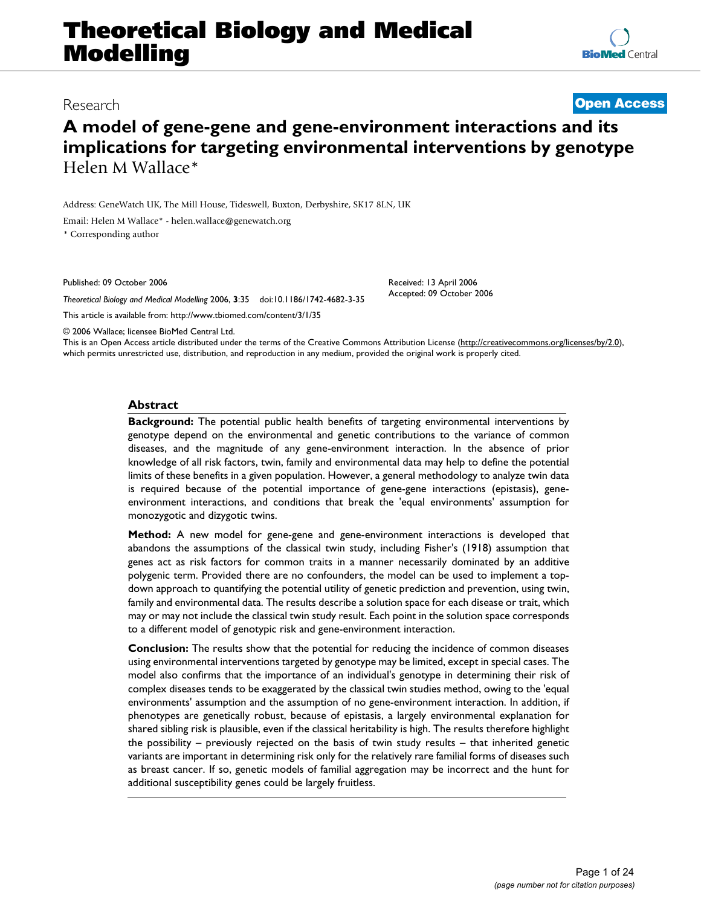# **Theoretical Biology and Medical Modelling**

# **A model of gene-gene and gene-environment interactions and its implications for targeting environmental interventions by genotype** Helen M Wallace\*

Address: GeneWatch UK, The Mill House, Tideswell, Buxton, Derbyshire, SK17 8LN, UK

Email: Helen M Wallace\* - helen.wallace@genewatch.org

\* Corresponding author

Published: 09 October 2006

*Theoretical Biology and Medical Modelling* 2006, **3**:35 doi:10.1186/1742-4682-3-35

[This article is available from: http://www.tbiomed.com/content/3/1/35](http://www.tbiomed.com/content/3/1/35)

© 2006 Wallace; licensee BioMed Central Ltd.

This is an Open Access article distributed under the terms of the Creative Commons Attribution License [\(http://creativecommons.org/licenses/by/2.0\)](http://creativecommons.org/licenses/by/2.0), which permits unrestricted use, distribution, and reproduction in any medium, provided the original work is properly cited.

### **Abstract**

**Background:** The potential public health benefits of targeting environmental interventions by genotype depend on the environmental and genetic contributions to the variance of common diseases, and the magnitude of any gene-environment interaction. In the absence of prior knowledge of all risk factors, twin, family and environmental data may help to define the potential limits of these benefits in a given population. However, a general methodology to analyze twin data is required because of the potential importance of gene-gene interactions (epistasis), geneenvironment interactions, and conditions that break the 'equal environments' assumption for monozygotic and dizygotic twins.

**Method:** A new model for gene-gene and gene-environment interactions is developed that abandons the assumptions of the classical twin study, including Fisher's (1918) assumption that genes act as risk factors for common traits in a manner necessarily dominated by an additive polygenic term. Provided there are no confounders, the model can be used to implement a topdown approach to quantifying the potential utility of genetic prediction and prevention, using twin, family and environmental data. The results describe a solution space for each disease or trait, which may or may not include the classical twin study result. Each point in the solution space corresponds to a different model of genotypic risk and gene-environment interaction.

**Conclusion:** The results show that the potential for reducing the incidence of common diseases using environmental interventions targeted by genotype may be limited, except in special cases. The model also confirms that the importance of an individual's genotype in determining their risk of complex diseases tends to be exaggerated by the classical twin studies method, owing to the 'equal environments' assumption and the assumption of no gene-environment interaction. In addition, if phenotypes are genetically robust, because of epistasis, a largely environmental explanation for shared sibling risk is plausible, even if the classical heritability is high. The results therefore highlight the possibility – previously rejected on the basis of twin study results – that inherited genetic variants are important in determining risk only for the relatively rare familial forms of diseases such as breast cancer. If so, genetic models of familial aggregation may be incorrect and the hunt for additional susceptibility genes could be largely fruitless.

# Research **[Open Access](http://www.biomedcentral.com/info/about/charter/)**

Received: 13 April 2006 Accepted: 09 October 2006

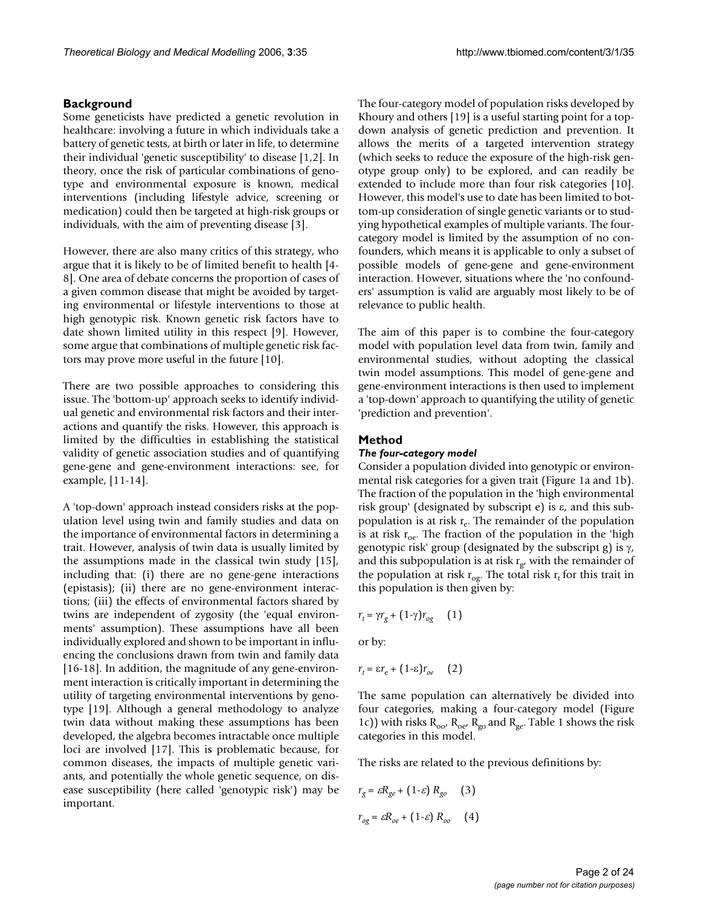### **Background**

Some geneticists have predicted a genetic revolution in healthcare: involving a future in which individuals take a battery of genetic tests, at birth or later in life, to determine their individual 'genetic susceptibility' to disease [1,2]. In theory, once the risk of particular combinations of genotype and environmental exposure is known, medical interventions (including lifestyle advice, screening or medication) could then be targeted at high-risk groups or individuals, with the aim of preventing disease [3].

However, there are also many critics of this strategy, who argue that it is likely to be of limited benefit to health [4- 8]. One area of debate concerns the proportion of cases of a given common disease that might be avoided by targeting environmental or lifestyle interventions to those at high genotypic risk. Known genetic risk factors have to date shown limited utility in this respect [9]. However, some argue that combinations of multiple genetic risk factors may prove more useful in the future [10].

There are two possible approaches to considering this issue. The 'bottom-up' approach seeks to identify individual genetic and environmental risk factors and their interactions and quantify the risks. However, this approach is limited by the difficulties in establishing the statistical validity of genetic association studies and of quantifying gene-gene and gene-environment interactions: see, for example, [11-14].

A 'top-down' approach instead considers risks at the population level using twin and family studies and data on the importance of environmental factors in determining a trait. However, analysis of twin data is usually limited by the assumptions made in the classical twin study [15], including that: (i) there are no gene-gene interactions (epistasis); (ii) there are no gene-environment interactions; (iii) the effects of environmental factors shared by twins are independent of zygosity (the 'equal environments' assumption). These assumptions have all been individually explored and shown to be important in influencing the conclusions drawn from twin and family data [16-18]. In addition, the magnitude of any gene-environment interaction is critically important in determining the utility of targeting environmental interventions by genotype [19]. Although a general methodology to analyze twin data without making these assumptions has been developed, the algebra becomes intractable once multiple loci are involved [17]. This is problematic because, for common diseases, the impacts of multiple genetic variants, and potentially the whole genetic sequence, on disease susceptibility (here called 'genotypic risk') may be important.

The four-category model of population risks developed by Khoury and others [19] is a useful starting point for a topdown analysis of genetic prediction and prevention. It allows the merits of a targeted intervention strategy (which seeks to reduce the exposure of the high-risk genotype group only) to be explored, and can readily be extended to include more than four risk categories [10]. However, this model's use to date has been limited to bottom-up consideration of single genetic variants or to studying hypothetical examples of multiple variants. The fourcategory model is limited by the assumption of no confounders, which means it is applicable to only a subset of possible models of gene-gene and gene-environment interaction. However, situations where the 'no confounders' assumption is valid are arguably most likely to be of relevance to public health.

The aim of this paper is to combine the four-category model with population level data from twin, family and environmental studies, without adopting the classical twin model assumptions. This model of gene-gene and gene-environment interactions is then used to implement a 'top-down' approach to quantifying the utility of genetic 'prediction and prevention'.

#### **Method**

#### *The four-category model*

Consider a population divided into genotypic or environmental risk categories for a given trait (Figure 1a and 1b). The fraction of the population in the 'high environmental risk group' (designated by subscript e) is ε, and this subpopulation is at risk  $r_e$ . The remainder of the population is at risk  $r_{oe}$ . The fraction of the population in the 'high genotypic risk' group (designated by the subscript g) is  $\gamma$ , and this subpopulation is at risk  $r_{\rm g}$ , with the remainder of the population at risk  $r_{og}$ . The total risk  $r_t$  for this trait in this population is then given by:

$$
r_t = \gamma r_g + (1-\gamma)r_{og} \quad (1)
$$

or by:

$$
r_t = \varepsilon r_e + (1 - \varepsilon)r_{oe} \quad (2)
$$

The same population can alternatively be divided into four categories, making a four-category model (Figure 1c)) with risks  $R_{oo}$ ,  $R_{oe}$ ,  $R_{go}$  and  $R_{ge}$ . Table 1 shows the risk categories in this model.

The risks are related to the previous definitions by:

$$
r_g = \varepsilon R_{ge} + (1 - \varepsilon) R_{go} \quad (3)
$$

$$
r_{og} = \varepsilon R_{oe} + (1 - \varepsilon) R_{oo} \quad (4)
$$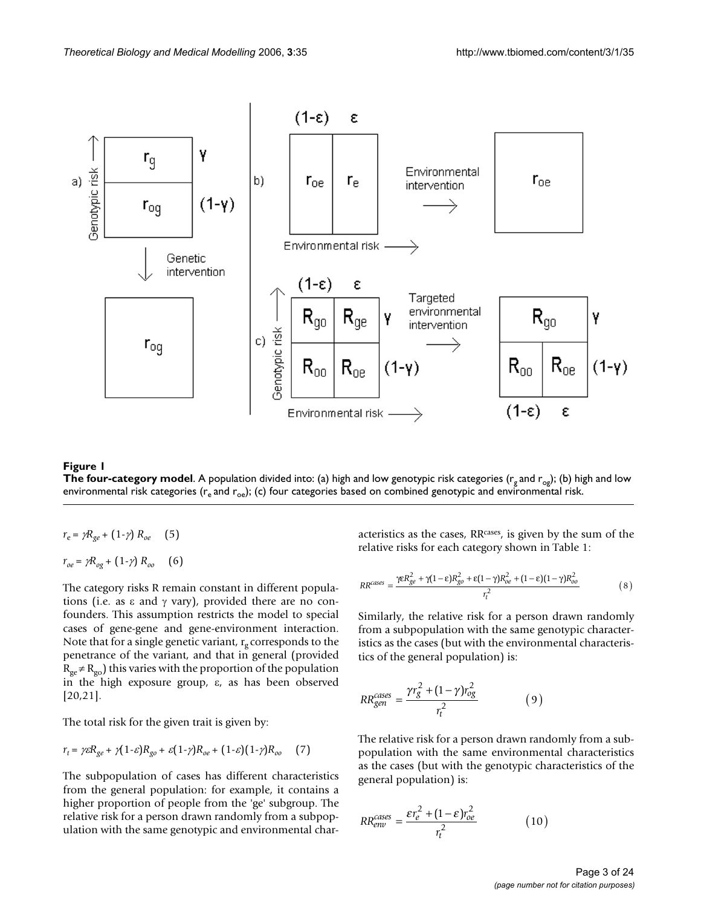

#### **Figure 1**

**The four-category model**. A population divided into: (a) high and low genotypic risk categories ( $r_{\sigma}$ and  $r_{\rm oo}$ ); (b) high and low environmental risk categories ( $r_{e}$  and  $r_{oe}$ ); (c) four categories based on combined genotypic and environmental risk.

*r*<sub>e</sub> =  $\gamma R_{ge}$  + (1- $\gamma$ )  $R_{oe}$  (5)  $r_{oe} = \gamma R_{oo} + (1-\gamma) R_{oo}$  (6)

The category risks R remain constant in different populations (i.e. as ε and γ vary), provided there are no confounders. This assumption restricts the model to special cases of gene-gene and gene-environment interaction. Note that for a single genetic variant,  $r_{\rm g}$  corresponds to the penetrance of the variant, and that in general (provided  $R_{\alpha} \neq R_{\alpha}$ ) this varies with the proportion of the population in the high exposure group, ε, as has been observed [20,21].

The total risk for the given trait is given by:

$$
r_t = \gamma \varepsilon R_{ge} + \gamma (1 - \varepsilon) R_{go} + \varepsilon (1 - \gamma) R_{oe} + (1 - \varepsilon) (1 - \gamma) R_{oo} \tag{7}
$$

The subpopulation of cases has different characteristics from the general population: for example, it contains a higher proportion of people from the 'ge' subgroup. The relative risk for a person drawn randomly from a subpopulation with the same genotypic and environmental characteristics as the cases, RRcases, is given by the sum of the relative risks for each category shown in Table 1:

$$
RR^{cases} = \frac{\gamma \varepsilon R_{ge}^{2} + \gamma (1 - \varepsilon) R_{go}^{2} + \varepsilon (1 - \gamma) R_{oe}^{2} + (1 - \varepsilon) (1 - \gamma) R_{oo}^{2}}{r_{t}^{2}}
$$
(8)

Similarly, the relative risk for a person drawn randomly from a subpopulation with the same genotypic characteristics as the cases (but with the environmental characteristics of the general population) is:

$$
RR_{gen}^{cases} = \frac{\gamma r_g^2 + (1 - \gamma)r_{og}^2}{r_t^2}
$$
 (9)

The relative risk for a person drawn randomly from a subpopulation with the same environmental characteristics as the cases (but with the genotypic characteristics of the general population) is:

$$
RR_{env}^{cases} = \frac{\varepsilon r_e^2 + (1 - \varepsilon)r_{oe}^2}{r_t^2}
$$
 (10)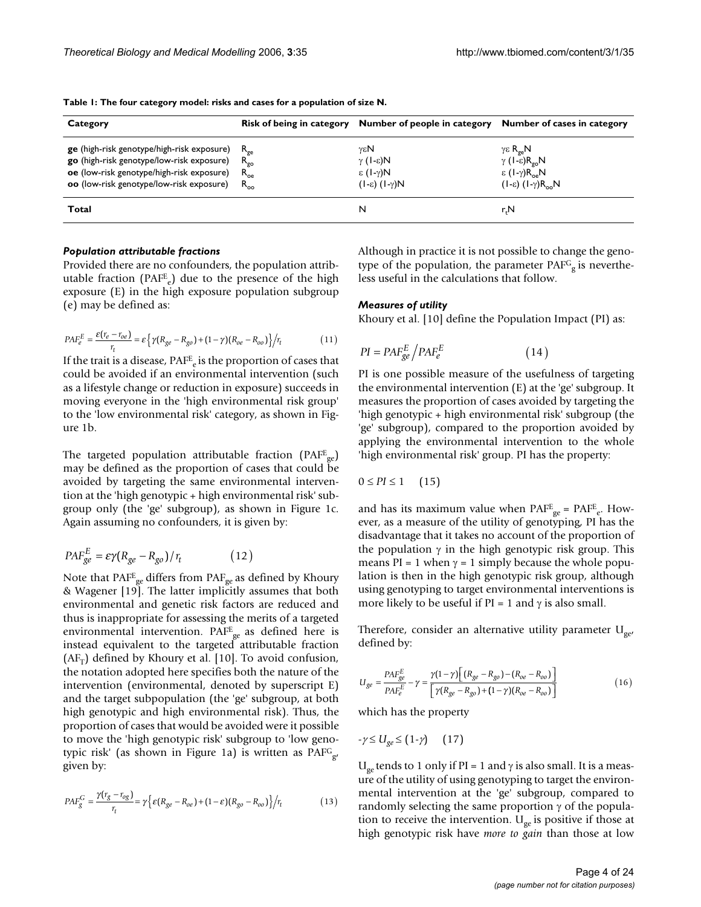| Category                                                                                                                                                                         |                                                                 | Risk of being in category Number of people in category Number of cases in category |                                                                                                                               |
|----------------------------------------------------------------------------------------------------------------------------------------------------------------------------------|-----------------------------------------------------------------|------------------------------------------------------------------------------------|-------------------------------------------------------------------------------------------------------------------------------|
| ge (high-risk genotype/high-risk exposure)<br>go (high-risk genotype/low-risk exposure)<br>oe (low-risk genotype/high-risk exposure)<br>oo (low-risk genotype/low-risk exposure) | $R_{\rm{ge}}$<br>$R_{\rm go}$<br>$R_{oe}$<br>$R_{\alpha\alpha}$ | γεΝ<br>$γ$ (1-ε)N<br>$\epsilon$ (1-y)N<br>$(I - \epsilon)$ $(I - \gamma)N$         | γε $R_{ge}N$<br>$γ$ (1-ε) $R_{\rm go}$ N<br>$\epsilon$ (1- $\gamma$ ) $R_{\alpha}N$<br>$(1-\epsilon)$ $(1-\gamma)R_{\infty}N$ |
| Total                                                                                                                                                                            |                                                                 | N                                                                                  | r.N                                                                                                                           |

**Table 1: The four category model: risks and cases for a population of size N.**

#### *Population attributable fractions*

Provided there are no confounders, the population attributable fraction (PAFE e) due to the presence of the high exposure (E) in the high exposure population subgroup (e) may be defined as:

$$
PAF_e^E = \frac{\varepsilon (r_e - r_{oe})}{r_t} = \varepsilon \left\{ \gamma (R_{ge} - R_{go}) + (1 - \gamma)(R_{oe} - R_{oo}) \right\} / r_t
$$
 (11)

If the trait is a disease,  $\text{PAF}_{\text{e}}^{\text{E}}$  is the proportion of cases that could be avoided if an environmental intervention (such as a lifestyle change or reduction in exposure) succeeds in moving everyone in the 'high environmental risk group' to the 'low environmental risk' category, as shown in Figure 1b.

The targeted population attributable fraction (PAFE<sub>ge</sub>) may be defined as the proportion of cases that could be avoided by targeting the same environmental intervention at the 'high genotypic + high environmental risk' subgroup only (the 'ge' subgroup), as shown in Figure 1c. Again assuming no confounders, it is given by:

$$
PAF_{ge}^{E} = \varepsilon \gamma (R_{ge} - R_{go})/r_t \tag{12}
$$

Note that PAF<sup>E</sup><sub>ge</sub> differs from PAF<sub>ge</sub> as defined by Khoury & Wagener [19]. The latter implicitly assumes that both environmental and genetic risk factors are reduced and thus is inappropriate for assessing the merits of a targeted environmental intervention. PAF<sup>E</sup><sub>ge</sub> as defined here is instead equivalent to the targeted attributable fraction  $(AF_T)$  defined by Khoury et al. [10]. To avoid confusion, the notation adopted here specifies both the nature of the intervention (environmental, denoted by superscript E) and the target subpopulation (the 'ge' subgroup, at both high genotypic and high environmental risk). Thus, the proportion of cases that would be avoided were it possible to move the 'high genotypic risk' subgroup to 'low genotypic risk' (as shown in Figure 1a) is written as  $\mathrm{PAF^G_{g'}}$ given by:

$$
PAF_g^G = \frac{\gamma (r_g - r_{og})}{r_t} = \gamma \Big\{ \varepsilon (R_{ge} - R_{oe}) + (1 - \varepsilon)(R_{go} - R_{oo}) \Big\} / r_t
$$
(13)

Although in practice it is not possible to change the genotype of the population, the parameter PAF<sup>G</sup><sub>g</sub> is nevertheless useful in the calculations that follow.

#### *Measures of utility*

Khoury et al. [10] define the Population Impact (PI) as:

$$
PI = PAF_{ge}^{E} / PAF_{e}^{E}
$$
 (14)

PI is one possible measure of the usefulness of targeting the environmental intervention (E) at the 'ge' subgroup. It measures the proportion of cases avoided by targeting the 'high genotypic + high environmental risk' subgroup (the 'ge' subgroup), compared to the proportion avoided by applying the environmental intervention to the whole 'high environmental risk' group. PI has the property:

$$
0 \le PI \le 1 \qquad (15)
$$

and has its maximum value when  $\text{PAFE}_{ge}$  =  $\text{PAFE}_{e}$ . However, as a measure of the utility of genotyping, PI has the disadvantage that it takes no account of the proportion of the population  $\gamma$  in the high genotypic risk group. This means PI = 1 when  $\gamma$  = 1 simply because the whole population is then in the high genotypic risk group, although using genotyping to target environmental interventions is more likely to be useful if  $PI = 1$  and  $\gamma$  is also small.

Therefore, consider an alternative utility parameter  $U_{ge}$ defined by:

$$
U_{ge} = \frac{PAF_{ge}^E}{PAF_e^E} - \gamma = \frac{\gamma(1-\gamma)\left[ (R_{ge} - R_{go}) - (R_{oe} - R_{oo}) \right]}{\left[ \gamma(R_{ge} - R_{go}) + (1-\gamma)(R_{oe} - R_{oo}) \right]}
$$
(16)

which has the property

$$
-\gamma \le U_{ge} \le (1-\gamma) \qquad (17)
$$

U<sub>ge</sub> tends to 1 only if PI = 1 and  $\gamma$  is also small. It is a measure of the utility of using genotyping to target the environmental intervention at the 'ge' subgroup, compared to randomly selecting the same proportion  $\gamma$  of the population to receive the intervention.  $U_{ge}$  is positive if those at high genotypic risk have *more to gain* than those at low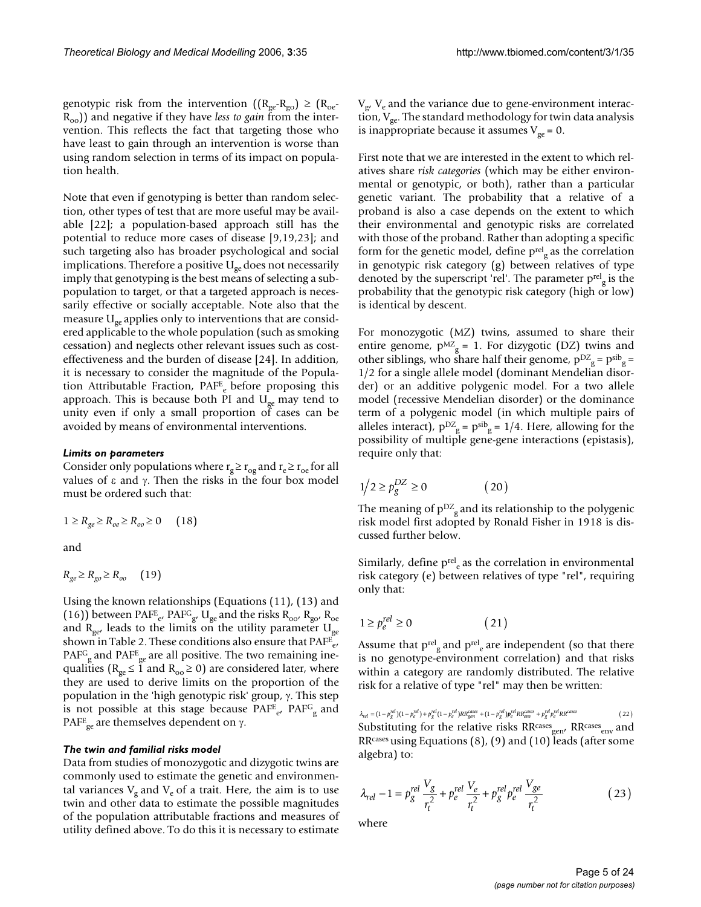genotypic risk from the intervention  $((R_{ge}-R_{go}) \ge (R_{oe}-R_{go}))$ R<sub>oo</sub>)) and negative if they have *less to gain* from the intervention. This reflects the fact that targeting those who have least to gain through an intervention is worse than using random selection in terms of its impact on population health.

Note that even if genotyping is better than random selection, other types of test that are more useful may be available [22]; a population-based approach still has the potential to reduce more cases of disease [9,19,23]; and such targeting also has broader psychological and social implications. Therefore a positive  $U_{ge}$  does not necessarily imply that genotyping is the best means of selecting a subpopulation to target, or that a targeted approach is necessarily effective or socially acceptable. Note also that the measure U<sub>ge</sub> applies only to interventions that are considered applicable to the whole population (such as smoking cessation) and neglects other relevant issues such as costeffectiveness and the burden of disease [24]. In addition, it is necessary to consider the magnitude of the Population Attributable Fraction, PAFE e before proposing this approach. This is because both PI and  $U_{ge}$  may tend to unity even if only a small proportion of cases can be avoided by means of environmental interventions.

#### *Limits on parameters*

Consider only populations where  $r_g \ge r_{og}$  and  $r_e \ge r_{oe}$  for all values of ε and γ. Then the risks in the four box model must be ordered such that:

$$
1 \ge R_{ge} \ge R_{oe} \ge R_{oo} \ge 0 \qquad (18)
$$

and

$$
R_{ge} \ge R_{go} \ge R_{oo} \quad (19)
$$

Using the known relationships (Equations (11), (13) and (16)) between  $\text{PAFE}_{e'}$   $\text{PAFG}_{g'}$  U<sub>ge</sub> and the risks  $\text{R}_{oo'}$ ,  $\text{R}_{go'}$ ,  $\text{R}_{oe}$ and  $R_{\text{ge}}$ , leads to the limits on the utility parameter  $U_{\text{ge}}$ shown in Table 2. These conditions also ensure that  $\text{PAFE}_{\text{e}^\prime}$ PAF<sup>G</sup><sub>g</sub> and PAF<sup>E</sup><sub>ge</sub> are all positive. The two remaining inequalities ( $R_{ge} \leq 1$  and  $R_{oo} \geq 0$ ) are considered later, where they are used to derive limits on the proportion of the population in the 'high genotypic risk' group, γ. This step is not possible at this stage because PAFE<sub>e</sub>, PAFC<sub>g</sub> and PAF<sup>E</sup><sub>ge</sub> are themselves dependent on  $\gamma$ .

#### *The twin and familial risks model*

Data from studies of monozygotic and dizygotic twins are commonly used to estimate the genetic and environmental variances  $V_g$  and  $V_e$  of a trait. Here, the aim is to use twin and other data to estimate the possible magnitudes of the population attributable fractions and measures of utility defined above. To do this it is necessary to estimate

 $V_{\rm g}$ ,  $V_{\rm e}$  and the variance due to gene-environment interaction,  $V_{ge}$ . The standard methodology for twin data analysis is inappropriate because it assumes  $V_{ge} = 0$ .

First note that we are interested in the extent to which relatives share *risk categories* (which may be either environmental or genotypic, or both), rather than a particular genetic variant. The probability that a relative of a proband is also a case depends on the extent to which their environmental and genotypic risks are correlated with those of the proband. Rather than adopting a specific form for the genetic model, define p<sup>rel</sup><sub>g</sub> as the correlation in genotypic risk category (g) between relatives of type denoted by the superscript 'rel'. The parameter  $p^{rel}_g$  is the probability that the genotypic risk category (high or low) is identical by descent.

For monozygotic (MZ) twins, assumed to share their entire genome,  $p_{\text{MZ}}^{\text{MZ}} = 1$ . For dizygotic (DZ) twins and other siblings, who share half their genome,  $p^{DZ}$ <sub>g</sub> =  $p^{sib}$ <sub>g</sub> = 1/2 for a single allele model (dominant Mendelian disorder) or an additive polygenic model. For a two allele model (recessive Mendelian disorder) or the dominance term of a polygenic model (in which multiple pairs of alleles interact),  $p^{DZ}_{g}$  =  $p^{sib}_{g}$  = 1/4. Here, allowing for the possibility of multiple gene-gene interactions (epistasis), require only that:

$$
1/2 \ge p_g^{DZ} \ge 0 \qquad \qquad (20)
$$

The meaning of  $p^{DZ}$ <sub>g</sub> and its relationship to the polygenic risk model first adopted by Ronald Fisher in 1918 is discussed further below.

Similarly, define  $p^{rel}$ <sub>e</sub> as the correlation in environmental risk category (e) between relatives of type "rel", requiring only that:

$$
1 \ge p_e^{rel} \ge 0 \tag{21}
$$

Assume that  $p_{\text{rel}}^{\text{rel}}$  and  $p_{\text{rel}}^{\text{rel}}$  are independent (so that there is no genotype-environment correlation) and that risks within a category are randomly distributed. The relative risk for a relative of type "rel" may then be written:

Substituting for the relative risks RR<sup>cases</sup>gen, RR<sup>cases</sup>env and RRcases using Equations (8), (9) and (10) leads (after some algebra) to:  $\lambda_{rel} = (1 - p_g^{rel})(1 - p_e^{rel}) + p_g^{rel}(1 - p_e^{rel})RR_{gen}^{cases} + (1 - p_g^{rel})p_e^{rel}RR_{env}^{cases} + p_g^{rel}p_e^{rel}RR^{cases}$  (22)

$$
\lambda_{rel} - 1 = p_g^{rel} \frac{V_g}{r_t^2} + p_e^{rel} \frac{V_e}{r_t^2} + p_g^{rel} p_e^{rel} \frac{V_{ge}}{r_t^2}
$$
 (23)

where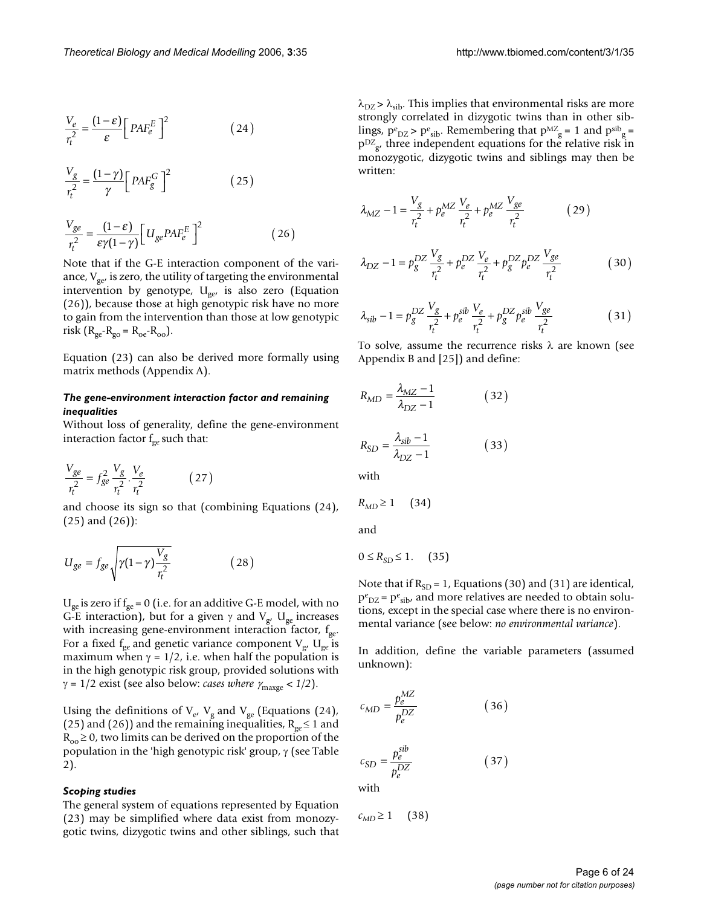$$
\frac{V_e}{r_t^2} = \frac{(1 - \varepsilon)}{\varepsilon} \left[ P A F_e^E \right]^2 \tag{24}
$$

$$
\frac{V_g}{r_t^2} = \frac{(1-\gamma)}{\gamma} \left[ PAF_g^G \right]^2 \tag{25}
$$

$$
\frac{V_{ge}}{r_t^2} = \frac{(1 - \varepsilon)}{\varepsilon \gamma (1 - \gamma)} \Big[ U_{ge} P A F_e^E \Big]^2 \tag{26}
$$

Note that if the G-E interaction component of the variance,  $V_{\text{ge}}$  is zero, the utility of targeting the environmental intervention by genotype,  $U_{ge}$  is also zero (Equation (26)), because those at high genotypic risk have no more to gain from the intervention than those at low genotypic risk ( $R_{ge}$ - $R_{go}$  =  $R_{oe}$ - $R_{oo}$ ).

Equation (23) can also be derived more formally using matrix methods (Appendix A).

### *The gene-environment interaction factor and remaining inequalities*

Without loss of generality, define the gene-environment interaction factor  $f_{ge}$  such that:

$$
\frac{V_{ge}}{r_t^2} = f_{ge}^2 \frac{V_g}{r_t^2} \cdot \frac{V_e}{r_t^2}
$$
 (27)

and choose its sign so that (combining Equations (24), (25) and (26)):

$$
U_{ge} = f_{ge} \sqrt{\gamma (1-\gamma) \frac{V_g}{r_t^2}}
$$
 (28)

 $U_{ge}$  is zero if  $f_{ge}$  = 0 (i.e. for an additive G-E model, with no G-E interaction), but for a given  $\gamma$  and  $V_{\rm g}$ ,  $U_{\rm g}$  increases with increasing gene-environment interaction factor,  $f_{ge}$ . For a fixed  $f_{ge}$  and genetic variance component  $V_{gt}$ ,  $U_{ge}$  is maximum when  $\gamma = 1/2$ , i.e. when half the population is in the high genotypic risk group, provided solutions with  $\gamma = 1/2$  exist (see also below: *cases where*  $\gamma_{\text{maxge}} < 1/2$ ).

Using the definitions of  $V_{e}$ ,  $V_{g}$  and  $V_{ge}$  (Equations (24), (25) and (26)) and the remaining inequalities,  $R_{ge} \le 1$  and  $R_{oo} \ge 0$ , two limits can be derived on the proportion of the population in the 'high genotypic risk' group, γ (see Table 2).

#### *Scoping studies*

The general system of equations represented by Equation (23) may be simplified where data exist from monozygotic twins, dizygotic twins and other siblings, such that  $\lambda_{\text{DZ}} > \lambda_{\text{sib}}$ . This implies that environmental risks are more strongly correlated in dizygotic twins than in other siblings,  $p_{\text{DZ}}^e > p_{\text{sib}}^e$ . Remembering that  $p_{\text{MZ}}^{\text{MZ}} = 1$  and  $p_{\text{sib}}^{\text{sib}} =$  $p^{DZ}_{\varrho}$ , three independent equations for the relative risk in monozygotic, dizygotic twins and siblings may then be written:

$$
\lambda_{MZ} - 1 = \frac{V_g}{r_t^2} + p_e^{MZ} \frac{V_e}{r_t^2} + p_e^{MZ} \frac{V_{ge}}{r_t^2}
$$
 (29)

$$
\lambda_{DZ} - 1 = p_g^{DZ} \frac{V_g}{r_t^2} + p_e^{DZ} \frac{V_e}{r_t^2} + p_g^{DZ} p_e^{DZ} \frac{V_{ge}}{r_t^2}
$$
(30)

$$
\lambda_{sib} - 1 = p_g^{DZ} \frac{V_g}{r_t^2} + p_e^{sib} \frac{V_e}{r_t^2} + p_g^{DZ} p_e^{sib} \frac{V_{ge}}{r_t^2}
$$
(31)

To solve, assume the recurrence risks  $\lambda$  are known (see Appendix B and [25]) and define:

$$
R_{MD} = \frac{\lambda_{MZ} - 1}{\lambda_{DZ} - 1}
$$
 (32)  

$$
R_{SD} = \frac{\lambda_{sib} - 1}{\lambda_{DZ} - 1}
$$
 (33)  
with  

$$
R_{MD} \ge 1
$$
 (34)

and

$$
0 \leq R_{SD} \leq 1. \qquad (35)
$$

Note that if  $R_{SD} = 1$ , Equations (30) and (31) are identical,  $p_{\text{DZ}}^e = p_{\text{sib}}^e$ , and more relatives are needed to obtain solutions, except in the special case where there is no environmental variance (see below: *no environmental variance*).

In addition, define the variable parameters (assumed unknown):

$$
c_{MD} = \frac{p_e^{MZ}}{p_e^{DZ}}
$$
 (36)  

$$
c_{SD} = \frac{p_e^{sib}}{p_e^{DZ}}
$$
 (37)  
with

$$
c_{MD} \ge 1 \qquad (38)
$$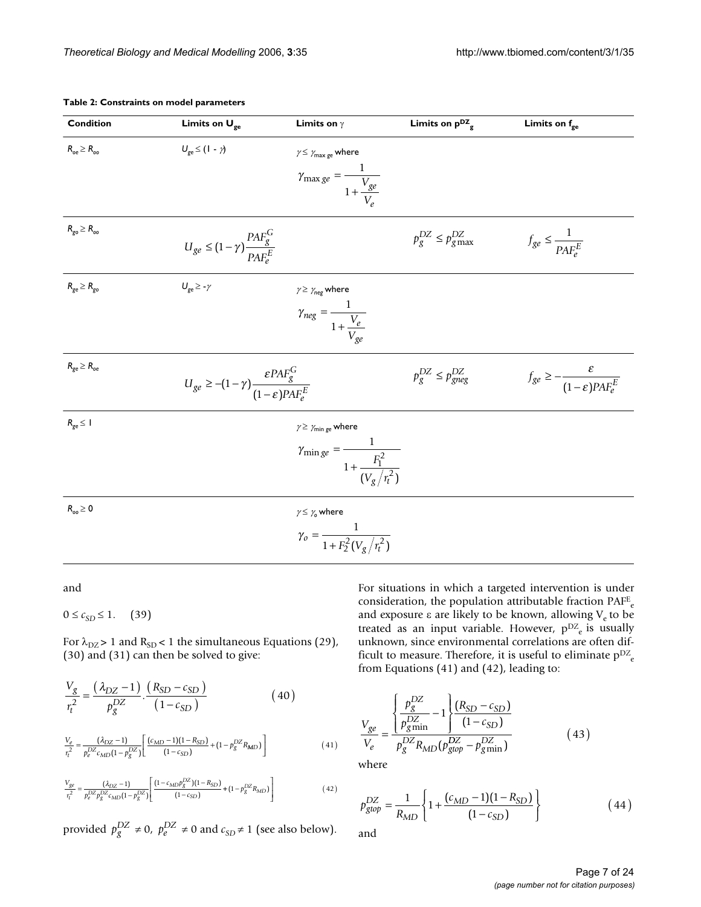| Condition                   | Limits on $U_{ge}$                                                         | <b>Limits on</b> $\gamma$                                                                                   | Limits on $p^{DZ}_{g}$               | Limits on $f_{ge}$                                       |
|-----------------------------|----------------------------------------------------------------------------|-------------------------------------------------------------------------------------------------------------|--------------------------------------|----------------------------------------------------------|
| $R_{oe} \geq R_{oo}$        | $U_{ge} \leq (1 - \gamma)$                                                 | $\gamma \leq \gamma_{\rm max~ge}$ where<br>$\gamma_{\text{max ge}} = \frac{1}{1 + \frac{V_{ge}}{V_e}}$      |                                      |                                                          |
| $R_{\rm go} \ge R_{\rm oo}$ | $U_{ge} \leq (1-\gamma) \frac{PAF_g^G}{PAF_e^E}$                           |                                                                                                             | $p_g^{DZ} \leq p_{g\text{max}}^{DZ}$ | $f_{ge} \leq \frac{1}{PAF_e^E}$                          |
| $R_{ge} \ge R_{go}$         | $U_{ge} \geq -\gamma$                                                      | $\gamma \geq \gamma_{\text{neg}}$ where<br>$\gamma_{neg} = \frac{1}{1+\frac{V_e}{V_{ge}}}$                  |                                      |                                                          |
| $R_{ge} \ge R_{oe}$         | $U_{ge} \ge -(1-\gamma)\frac{\varepsilon PAF_g^G}{(1-\varepsilon)PAF_E^E}$ |                                                                                                             | $p_{g}^{DZ} \leq p_{gneg}^{DZ}$      | $f_{ge} \ge -\frac{\varepsilon}{(1-\varepsilon)PAF_e^E}$ |
| $R_{ge} \le 1$              |                                                                            | $\gamma \geq \gamma_{\text{min ge}}$ where<br>$\gamma_{\min g e} = \frac{1}{1 + \frac{F_1^2}{(V_o/r_t^2)}}$ |                                      |                                                          |
| $R_{oo} \geq 0$             |                                                                            | $\gamma \leq \gamma_0$ where<br>$\gamma_o = \frac{1}{1 + F_2^2 (V_g / r_t^2)}$                              |                                      |                                                          |

#### **Table 2: Constraints on model parameters**

and

 $0 \le c_{SD} \le 1.$  (39)

For  $\lambda_{\text{DZ}} > 1$  and  $R_{\text{SD}} < 1$  the simultaneous Equations (29), (30) and (31) can then be solved to give:

$$
\frac{V_g}{r_t^2} = \frac{(\lambda_{DZ} - 1)}{p_g^{DZ}} \cdot \frac{(R_{SD} - c_{SD})}{(1 - c_{SD})}
$$
(40)

$$
\frac{V_e}{r_t^2} = \frac{(\lambda_{DZ} - 1)}{p_e^{DZ} c_{MD} (1 - p_g^{DZ})} \left[ \frac{(c_{MD} - 1)(1 - R_{SD})}{(1 - c_{SD})} + (1 - p_g^{DZ} R_{MD}) \right]
$$
(41)

$$
\frac{V_{ge}}{r_t^2} = \frac{(\lambda_{DZ} - 1)}{p_e^{DZ} p_S^{DZ} c_{MD} (1 - p_S^{DZ})} \left[ \frac{(1 - c_{MD} p_S^{DZ})(1 - R_{SD})}{(1 - c_{SD})} + (1 - p_S^{DZ} R_{MD}) \right]
$$
(42)

provided  $p_g^{DZ} \neq 0$ ,  $p_e^{DZ} \neq 0$  and  $c_{SD} \neq 1$  (see also below).

For situations in which a targeted intervention is under consideration, the population attributable fraction PAF<sup>E</sup><sub>e</sub> and exposure  $\varepsilon$  are likely to be known, allowing  $V_e$  to be treated as an input variable. However,  $p^{DZ}$ <sub>e</sub> is usually unknown, since environmental correlations are often difficult to measure. Therefore, it is useful to eliminate  $p^{DZ}_{e}$ from Equations (41) and (42), leading to:

$$
\frac{V_{ge}}{V_e} = \frac{\left\{\frac{p_S^{DZ}}{p_{g\min}^{DZ}} - 1\right\} \frac{(R_{SD} - c_{SD})}{(1 - c_{SD})}}{\frac{V_e}{V_g^{DZ} R_{MD} (p_{gtop}^{DZ} - p_{g\min}^{DZ})}}
$$
(43)

where

$$
p_{gtop}^{DZ} = \frac{1}{R_{MD}} \left\{ 1 + \frac{(c_{MD} - 1)(1 - R_{SD})}{(1 - c_{SD})} \right\}
$$
(44)

and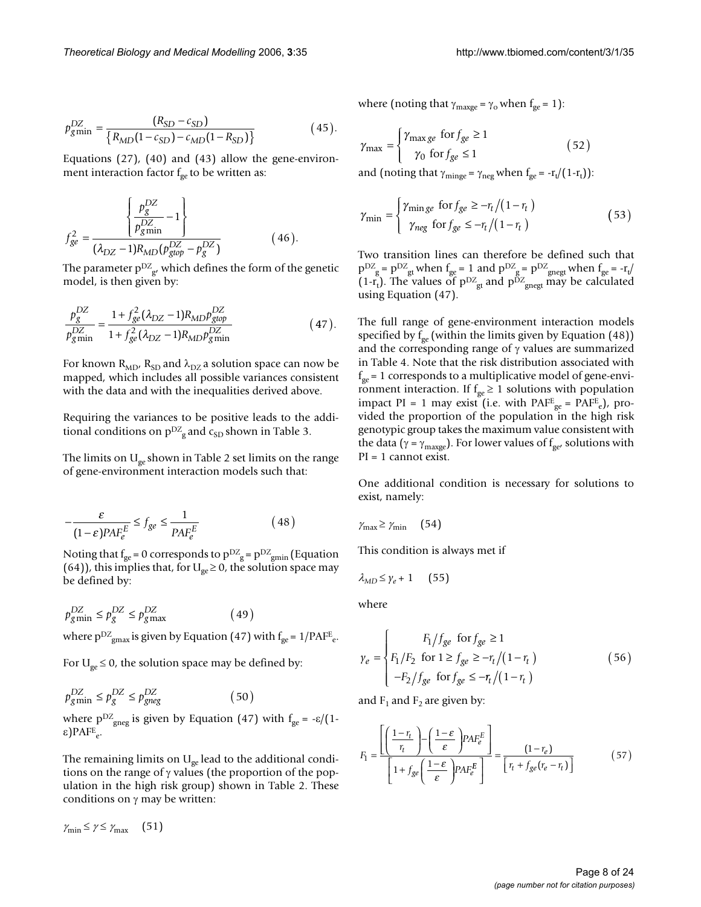$$
p_{g\min}^{DZ} = \frac{(R_{SD} - c_{SD})}{\{R_{MD}(1 - c_{SD}) - c_{MD}(1 - R_{SD})\}}
$$
(45).

Equations (27), (40) and (43) allow the gene-environment interaction factor  $f_{ge}$  to be written as:

$$
f_{ge}^{2} = \frac{\left\{\frac{p_g^{DZ}}{p_{g_{\min}}^{DZ} - 1}\right\}}{(\lambda_{DZ} - 1)R_{MD}(p_{gtop}^{DZ} - p_g^{DZ})}
$$
(46).

The parameter  $p^{DZ}$ <sub>g</sub>, which defines the form of the genetic model, is then given by:

$$
\frac{p_g^{DZ}}{p_{g\min}^{DZ}} = \frac{1 + f_{ge}^2 (\lambda_{DZ} - 1) R_{MD} p_{gtop}^{DZ}}{1 + f_{ge}^2 (\lambda_{DZ} - 1) R_{MD} p_{g\min}^{DZ}} \tag{47}
$$

For known  $R_{MD}$ ,  $R_{SD}$  and  $\lambda_{DZ}$  a solution space can now be mapped, which includes all possible variances consistent with the data and with the inequalities derived above.

Requiring the variances to be positive leads to the additional conditions on  $p^{DZ}$ <sub>g</sub> and c<sub>SD</sub> shown in Table 3.

The limits on  $U_{ge}$  shown in Table 2 set limits on the range of gene-environment interaction models such that:

$$
-\frac{\varepsilon}{(1-\varepsilon)PAF_e^E} \le f_{ge} \le \frac{1}{PAF_e^E} \tag{48}
$$

Noting that  $f_{ge} = 0$  corresponds to  $p^{DZ}g = p^{DZ}g_{min}$  (Equation (64)), this implies that, for  $U_{ge} \ge 0$ , the solution space may be defined by:

$$
p_{g\min}^{DZ} \le p_g^{DZ} \le p_{g\max}^{DZ} \tag{49}
$$

where  $p^{DZ}$ <sub>gmax</sub> is given by Equation (47) with  $f_{ge} = 1/PAFE_e$ .

For  $U_{ge} \le 0$ , the solution space may be defined by:

$$
p_{g\min}^{DZ} \le p_g^{DZ} \le p_{gneg}^{DZ} \tag{50}
$$

where  $p^{DZ}$ <sub>gneg</sub> is given by Equation (47) with  $f_{ge} = -\varepsilon/(1-\varepsilon)$ ε)PAFE e.

The remaining limits on  $U_{ge}$  lead to the additional conditions on the range of  $\gamma$  values (the proportion of the population in the high risk group) shown in Table 2. These conditions on  $\gamma$  may be written:

 $\gamma_{\min} \leq \gamma \leq \gamma_{\max}$  (51)

where (noting that  $\gamma_{\text{maxge}} = \gamma_0$  when  $f_{ge} = 1$ ):

$$
\gamma_{\text{max}} = \begin{cases} \gamma_{\text{max ge}} & \text{for } f_{ge} \ge 1 \\ \gamma_0 & \text{for } f_{ge} \le 1 \end{cases} \tag{52}
$$

and (noting that  $\gamma_{\text{minge}} = \gamma_{\text{neg}}$  when  $f_{ge} = -r_t/(1-r_t)$ ):

$$
\gamma_{\min} = \begin{cases} \gamma_{\min g e} \text{ for } f_{g e} \ge -r_t/(1 - r_t) \\ \gamma_{\text{neg}} \text{ for } f_{g e} \le -r_t/(1 - r_t) \end{cases}
$$
(53)

Two transition lines can therefore be defined such that  $p^{DZ}$ <sub>g</sub> =  $p^{DZ}$ <sub>gt</sub> when f<sub>ge</sub> = 1 and  $p^{DZ}$ <sub>g</sub> =  $p^{DZ}$ <sub>gnegt</sub> when f<sub>ge</sub> =  $-r_t/$ (1-r<sub>t</sub>). The values of  $p^{DZ}_{gt}$  and  $p^{DZ}_{gt}$  may be calculated using Equation (47).

The full range of gene-environment interaction models specified by  $f_{ge}$  (within the limits given by Equation (48)) and the corresponding range of  $\gamma$  values are summarized in Table 4. Note that the risk distribution associated with  $f_{ge}$  = 1 corresponds to a multiplicative model of gene-environment interaction. If  $f_{ge} \geq 1$  solutions with population impact PI = 1 may exist (i.e. with  $PAFE_{ge} = PAFE_{e}$ ), provided the proportion of the population in the high risk genotypic group takes the maximum value consistent with the data ( $\gamma = \gamma_{\text{maxge}}$ ). For lower values of  $f_{\text{ge}}$ , solutions with PI = 1 cannot exist.

One additional condition is necessary for solutions to exist, namely:

$$
\gamma_{\text{max}} \ge \gamma_{\text{min}} \quad (54)
$$

This condition is always met if

$$
\lambda_{MD} \leq \gamma_e + 1 \qquad (55)
$$

where

$$
\gamma_e = \begin{cases}\nF_1/f_{ge} & \text{for } f_{ge} \ge 1 \\
F_1/F_2 & \text{for } 1 \ge f_{ge} \ge -r_t/(1-r_t) \\
-F_2/f_{ge} & \text{for } f_{ge} \le -r_t/(1-r_t)\n\end{cases}
$$
\n(56)

and  $F_1$  and  $F_2$  are given by:

$$
F_1 = \frac{\left[\left(\frac{1-\tau_t}{r_t}\right) - \left(\frac{1-\varepsilon}{\varepsilon}\right) P A F_e^E\right]}{\left[1 + f_{ge}\left(\frac{1-\varepsilon}{\varepsilon}\right) P A F_e^E\right]} = \frac{(1-\tau_e)}{\left[\tau_t + f_{ge}(r_e - r_t)\right]}
$$
(57)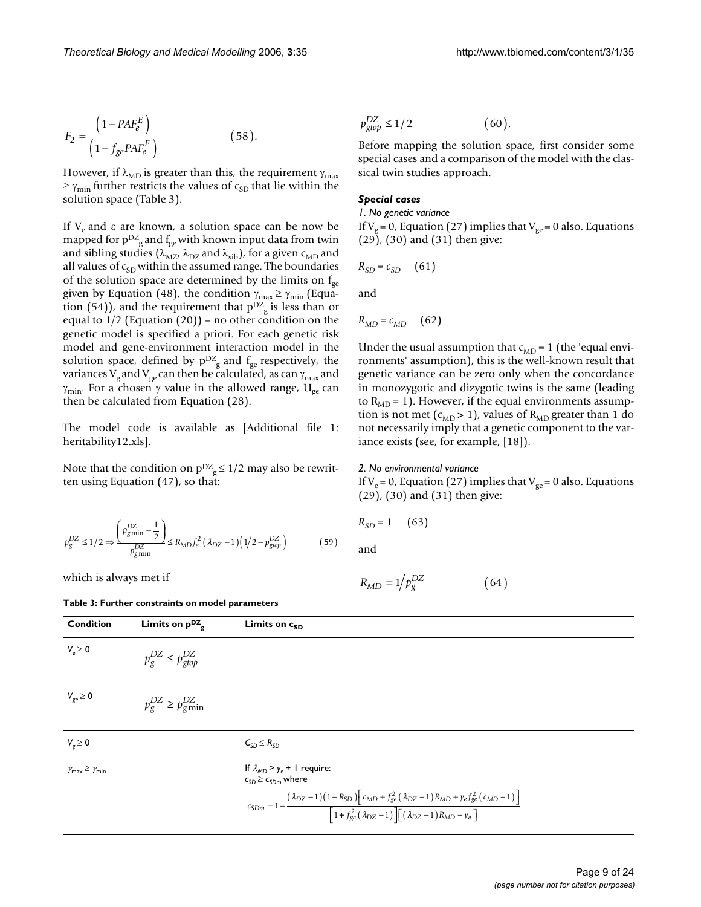$$
F_2 = \frac{\left(1 - P A F_e^E\right)}{\left(1 - f_{ge} P A F_e^E\right)}\tag{58}
$$

However, if  $\lambda_{MD}$  is greater than this, the requirement  $\gamma_{max}$  $\geq \gamma_{\text{min}}$  further restricts the values of c<sub>SD</sub> that lie within the solution space (Table 3).

If  $V_e$  and ε are known, a solution space can be now be mapped for  $p^{DZ_g}$  and  $f_{ge}$  with known input data from twin and sibling studies ( $\lambda_{\text{MZ}}$ ,  $\lambda_{\text{DZ}}$  and  $\lambda_{\text{sib}}$ ), for a given c<sub>MD</sub> and all values of  $c_{SD}$  within the assumed range. The boundaries of the solution space are determined by the limits on  $f_{ge}$ given by Equation (48), the condition  $\gamma_{\text{max}} \ge \gamma_{\text{min}}$  (Equation (54)), and the requirement that  $p^{DZ}$ <sub>g</sub> is less than or equal to  $1/2$  (Equation (20)) – no other condition on the genetic model is specified a priori. For each genetic risk model and gene-environment interaction model in the solution space, defined by  $p^{DZ}$ <sub>g</sub> and  $f_{ge}$  respectively, the variances  $V_g$  and  $V_{ge}$  can then be calculated, as can  $\gamma_{\text{max}}$  and  $γ<sub>min</sub>$ . For a chosen γ value in the allowed range, U<sub>ge</sub> can then be calculated from Equation (28).

The model code is available as [Additional file 1: heritability12.xls].

Note that the condition on  $p^{DZ}$ <sub>g</sub>  $\leq 1/2$  may also be rewritten using Equation (47), so that:

$$
p_g^{DZ} \le 1/2 \Rightarrow \frac{\left(p_{g\min}^{DZ} - \frac{1}{2}\right)}{p_{g\min}^{DZ}} \le R_{MD} f_e^2 \left(\lambda_{DZ} - 1\right) \left(1/2 - p_{gtop}^{DZ}\right) \tag{59}
$$

which is always met if

**Table 3: Further constraints on model parameters**

$$
p_{\text{gtop}}^{DZ} \le 1/2 \tag{60}.
$$

Before mapping the solution space, first consider some special cases and a comparison of the model with the classical twin studies approach.

#### *Special cases*

#### *1. No genetic variance*

If  $V_g$  = 0, Equation (27) implies that  $V_{ge}$  = 0 also. Equations (29), (30) and (31) then give:

$$
R_{SD} = c_{SD} \quad \text{(61)}
$$

and

$$
R_{MD} = c_{MD} \quad (62)
$$

Under the usual assumption that  $c_{MD} = 1$  (the 'equal environments' assumption), this is the well-known result that genetic variance can be zero only when the concordance in monozygotic and dizygotic twins is the same (leading to  $R<sub>MD</sub> = 1$ ). However, if the equal environments assumption is not met ( $c_{MD} > 1$ ), values of  $R_{MD}$  greater than 1 do not necessarily imply that a genetic component to the variance exists (see, for example, [18]).

#### *2. No environmental variance*

If  $V_e$  = 0, Equation (27) implies that  $V_{ge}$  = 0 also. Equations (29), (30) and (31) then give:

$$
R_{SD} = 1 \qquad \text{(63)}
$$

and

$$
R_{MD} = 1/p_g^{DZ} \tag{64}
$$

| <b>Condition</b>                               | Limits on $p^{DZ}$ <sub>s</sub>        | Limits on $c_{SD}$                                                                                                                                                                                                                                                                                                                                             |
|------------------------------------------------|----------------------------------------|----------------------------------------------------------------------------------------------------------------------------------------------------------------------------------------------------------------------------------------------------------------------------------------------------------------------------------------------------------------|
| $V_e \geq 0$                                   | $p_{g}^{DZ} \leq p_{\text{stop}}^{DZ}$ |                                                                                                                                                                                                                                                                                                                                                                |
| $V_{ge} \ge 0$                                 | $p_{g}^{DZ} \ge p_{g}^{DZ}$            |                                                                                                                                                                                                                                                                                                                                                                |
| $V_g \geq 0$                                   |                                        | $C_{SD} \leq R_{SD}$                                                                                                                                                                                                                                                                                                                                           |
| $\gamma_{\text{max}} \geq \gamma_{\text{min}}$ |                                        | If $\lambda_{MD} > y_{e} + 1$ require:<br>$c_{SD} \geq c_{SDm}$ where<br>$c_{SDm}=1-\frac{\left(\lambda_{DZ}-1\right)\left(1-R_{SD}\right)\left[c_{MD}+f_{ge}^{2}\left(\lambda_{DZ}-1\right)R_{MD}+\gamma_{ef}f_{ge}^{2}\left(c_{MD}-1\right)\right]}{\left[1+f_{ge}^{2}\left(\lambda_{DZ}-1\right)\left[\left(\lambda_{DZ}-1\right)R_{MD}-\gamma_{e}\right]}$ |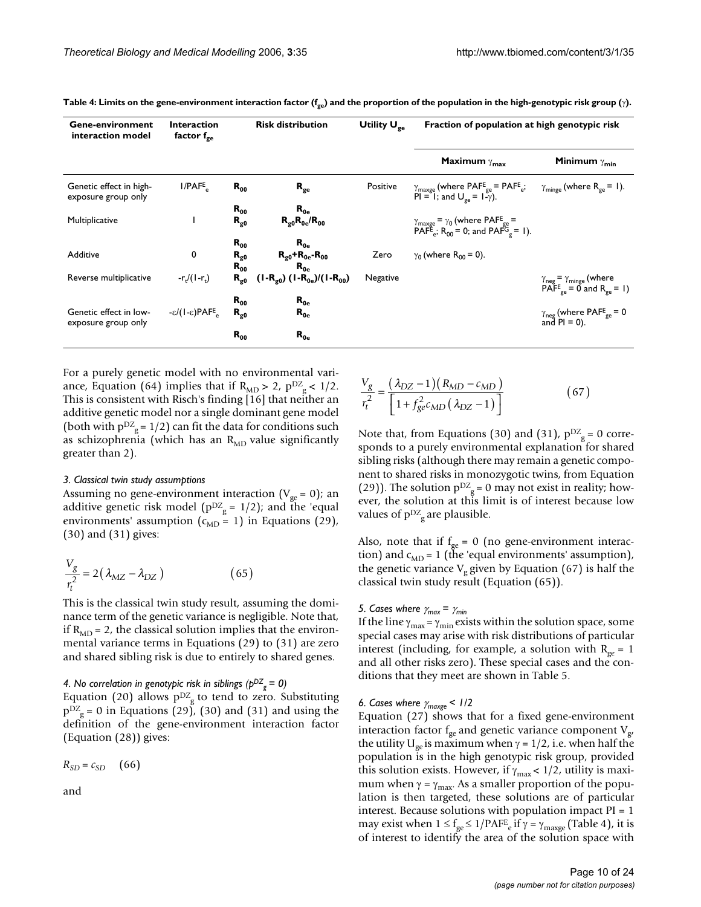| <b>Gene-environment</b><br>interaction model   | <b>Interaction</b><br>factor $f_{ge}$ | <b>Risk distribution</b>         |                                                        | Utility $U_{ge}$ | Fraction of population at high genotypic risk                                                                                                                              |                                                                                                         |  |  |
|------------------------------------------------|---------------------------------------|----------------------------------|--------------------------------------------------------|------------------|----------------------------------------------------------------------------------------------------------------------------------------------------------------------------|---------------------------------------------------------------------------------------------------------|--|--|
|                                                |                                       |                                  |                                                        |                  | Maximum $\gamma_{\text{max}}$                                                                                                                                              | Minimum $\gamma_{\text{min}}$                                                                           |  |  |
| Genetic effect in high-<br>exposure group only | I/PAFE                                | $R_{00}$                         | $R_{ge}$                                               | Positive         | $\gamma_{\text{maxge}}$ (where PAF <sup>E</sup> <sub>ge</sub> = PAF <sup>E</sup> <sub>e</sub> ;<br>PI = 1; and U <sub>ge</sub> = 1- $\gamma$ ).                            | $\gamma_{\text{minge}}$ (where R <sub>ge</sub> = 1).                                                    |  |  |
| Multiplicative                                 |                                       | $R_{00}$<br>$R_{g0}$             | $R_{0e}$<br>$R_{g0}R_{0e}/R_{00}$                      |                  | $\gamma_{\text{maxge}} = \gamma_0$ (where PAF <sup>E</sup> <sub>ge</sub> =<br>PAF <sup>E</sup> <sub>e</sub> ; R <sub>00</sub> = 0; and PAF <sup>G</sup> <sub>e</sub> = 1). |                                                                                                         |  |  |
| Additive                                       | 0                                     | $R_{00}$<br>$R_{g0}$<br>$R_{00}$ | $R_{0e}$<br>$R_{e0}$ + $R_{0e}$ - $R_{00}$<br>$R_{0e}$ | Zero             | $\gamma_0$ (where R <sub>00</sub> = 0).                                                                                                                                    |                                                                                                         |  |  |
| Reverse multiplicative                         | $-r_{r}$ /(1-r <sub>r</sub> )         | $\mathsf{R}_{\sigma 0}$          | $(1-R_{g0}) (1-R_{0e})/(1-R_{00})$                     | Negative         |                                                                                                                                                                            | $\gamma_{\text{neg}} = \gamma_{\text{minge}}$ (where<br>PAFE <sub>ge</sub> = 0 and R <sub>ge</sub> = 1) |  |  |
| Genetic effect in low-<br>exposure group only  | -ε/(1-ε) $PAFE_e$                     | $R_{00}$<br>$R_{g0}$             | $R_{0e}$<br>$R_{0e}$                                   |                  |                                                                                                                                                                            | $\gamma_{\text{neg}}$ (where PAF <sup>E</sup> <sub>ge</sub> = 0<br>and $PI = 0$ ).                      |  |  |
|                                                |                                       | $R_{00}$                         | $R_{0e}$                                               |                  |                                                                                                                                                                            |                                                                                                         |  |  |

Table 4: Limits on the gene-environment interaction factor (f<sub>ge</sub>) and the proportion of the population in the high-genotypic risk group (γ).

For a purely genetic model with no environmental variance, Equation (64) implies that if  $R_{MD} > 2$ ,  $p^{DZ}g < 1/2$ . This is consistent with Risch's finding [16] that neither an additive genetic model nor a single dominant gene model (both with  $p^{DZ}g = 1/2$ ) can fit the data for conditions such as schizophrenia (which has an  $R_{MD}$  value significantly greater than 2).

#### *3. Classical twin study assumptions*

Assuming no gene-environment interaction ( $V_{ge} = 0$ ); an additive genetic risk model ( $p^{DZ}$ <sub>g</sub> = 1/2); and the 'equal environments' assumption  $(c<sub>MD</sub> = 1)$  in Equations (29), (30) and (31) gives:

$$
\frac{V_g}{r_t^2} = 2(\lambda_{MZ} - \lambda_{DZ})
$$
 (65)

This is the classical twin study result, assuming the dominance term of the genetic variance is negligible. Note that, if  $R_{MD} = 2$ , the classical solution implies that the environmental variance terms in Equations (29) to (31) are zero and shared sibling risk is due to entirely to shared genes.

# 4. No correlation in genotypic risk in siblings ( $p^{DZ}$ <sub>g</sub> = 0)

Equation (20) allows  $p^{DZ}_{g}$  to tend to zero. Substituting  $p^{DZ}$ <sub>g</sub> = 0 in Equations (29), (30) and (31) and using the definition of the gene-environment interaction factor (Equation (28)) gives:

 $R_{SD} = c_{SD}$  (66)

and

$$
\frac{V_g}{r_t^2} = \frac{(\lambda_{DZ} - 1)(R_{MD} - c_{MD})}{\left[1 + f_{ge}^2 c_{MD} (\lambda_{DZ} - 1)\right]}
$$
(67)

Note that, from Equations (30) and (31),  $p^{DZ}$ <sub>g</sub> = 0 corresponds to a purely environmental explanation for shared sibling risks (although there may remain a genetic component to shared risks in monozygotic twins, from Equation (29)). The solution  $p^{DZ}$ <sub>g</sub> = 0 may not exist in reality; however, the solution at this limit is of interest because low values of  $p^{DZ}$ <sub>g</sub> are plausible.

Also, note that if  $f_{ge} = 0$  (no gene-environment interaction) and  $c_{MD} = 1$  (the 'equal environments' assumption), the genetic variance  $V_g$  given by Equation (67) is half the classical twin study result (Equation (65)).

#### *5. Cases where*  $\gamma_{\text{max}} = \gamma_{\text{min}}$

If the line  $\gamma_{\text{max}} = \gamma_{\text{min}}$  exists within the solution space, some special cases may arise with risk distributions of particular interest (including, for example, a solution with  $R_{\alpha e} = 1$ and all other risks zero). These special cases and the conditions that they meet are shown in Table 5.

### *6. Cases where* γ*maxge < 1/2*

Equation (27) shows that for a fixed gene-environment interaction factor  $f_{ge}$  and genetic variance component  $V_{ge}$ the utility U<sub>ge</sub> is maximum when  $\gamma = 1/2$ , i.e. when half the population is in the high genotypic risk group, provided this solution exists. However, if  $\gamma_{\text{max}} < 1/2$ , utility is maximum when  $\gamma = \gamma_{\text{max}}$ . As a smaller proportion of the population is then targeted, these solutions are of particular interest. Because solutions with population impact PI = 1 may exist when  $1 \le f_{ge} \le 1/PAFE_e$  if  $\gamma = \gamma_{\text{maxge}}$  (Table 4), it is of interest to identify the area of the solution space with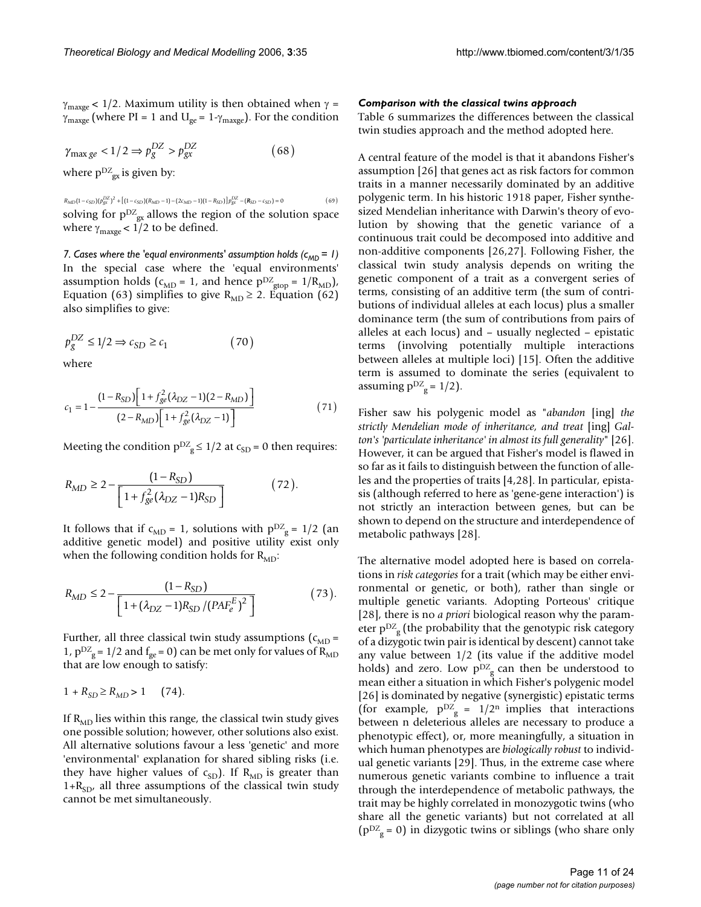$γ<sub>maxge</sub> < 1/2$ . Maximum utility is then obtained when  $γ =$  $\gamma_{\text{maxge}}$  (where PI = 1 and U<sub>ge</sub> = 1- $\gamma_{\text{maxge}}$ ). For the condition

$$
\gamma_{\text{max}} g_e < 1/2 \Rightarrow p_g^{DZ} > p_{gx}^{DZ} \tag{68}
$$
\nwhere  $p_{Z_i}$  is given by:

where  $p^{DZ}_{gx}$  is given by:

solving for  $p^{DZ}_{ex}$  allows the region of the solution space where  $\gamma_{\text{maxge}} < 1/2$  to be defined.  $R_{MD} (1 - c_{SD}) (p_{gx}^{DZ})^2 + [(1 - c_{SD}) (R_{MD} - 1) - (2c_{MD} - 1)(1 - R_{SD})] p_{gx}^{DZ} - (R_{SD} - c_{SD}) = 0$  (69)

*7. Cases where the 'equal environments' assumption holds (* $c_{MD} = 1$ *)* In the special case where the 'equal environments' assumption holds ( $c_{MD} = 1$ , and hence  $p^{DZ}_{gtop} = 1/R_{MD}$ ), Equation (63) simplifies to give  $R_{MD} \ge 2$ . Equation (62) also simplifies to give:

$$
p_g^{DZ} \le 1/2 \Rightarrow c_{SD} \ge c_1 \tag{70}
$$

where

$$
c_1 = 1 - \frac{(1 - R_{SD}) \left[ 1 + f_{ge}^2 (\lambda_{DZ} - 1)(2 - R_{MD}) \right]}{(2 - R_{MD}) \left[ 1 + f_{ge}^2 (\lambda_{DZ} - 1) \right]}
$$
(71)

Meeting the condition  $p^{DZ}g \leq 1/2$  at  $c_{SD} = 0$  then requires:

$$
R_{MD} \ge 2 - \frac{(1 - R_{SD})}{\left[1 + f_{ge}^2 (\lambda_{DZ} - 1) R_{SD}\right]}
$$
(72).

It follows that if  $c_{MD} = 1$ , solutions with  $p^{DZ}$ <sub>g</sub> = 1/2 (an additive genetic model) and positive utility exist only when the following condition holds for  $R_{MD}$ :

$$
R_{MD} \le 2 - \frac{(1 - R_{SD})}{\left[1 + (\lambda_{DZ} - 1)R_{SD} / (PAF_e^E)^2\right]}
$$
(73).

Further, all three classical twin study assumptions ( $c_{MD}$  = 1,  $p^{DZ}$ <sub>g</sub> = 1/2 and f<sub>ge</sub> = 0) can be met only for values of R<sub>MD</sub> that are low enough to satisfy:

$$
1+R_{SD} \ge R_{MD} > 1 \qquad (74).
$$

If  $R_{MD}$  lies within this range, the classical twin study gives one possible solution; however, other solutions also exist. All alternative solutions favour a less 'genetic' and more 'environmental' explanation for shared sibling risks (i.e. they have higher values of  $c_{SD}$ ). If  $R_{MD}$  is greater than  $1+R_{SD}$ , all three assumptions of the classical twin study cannot be met simultaneously.

#### *Comparison with the classical twins approach*

Table 6 summarizes the differences between the classical twin studies approach and the method adopted here.

A central feature of the model is that it abandons Fisher's assumption [26] that genes act as risk factors for common traits in a manner necessarily dominated by an additive polygenic term. In his historic 1918 paper, Fisher synthesized Mendelian inheritance with Darwin's theory of evolution by showing that the genetic variance of a continuous trait could be decomposed into additive and non-additive components [26,27]. Following Fisher, the classical twin study analysis depends on writing the genetic component of a trait as a convergent series of terms, consisting of an additive term (the sum of contributions of individual alleles at each locus) plus a smaller dominance term (the sum of contributions from pairs of alleles at each locus) and – usually neglected – epistatic terms (involving potentially multiple interactions between alleles at multiple loci) [15]. Often the additive term is assumed to dominate the series (equivalent to assuming  $p^{DZ}$ <sub>g</sub> = 1/2).

Fisher saw his polygenic model as "*abandon* [ing] *the strictly Mendelian mode of inheritance, and treat* [ing] *Galton's 'particulate inheritance' in almost its full generality*" [26]. However, it can be argued that Fisher's model is flawed in so far as it fails to distinguish between the function of alleles and the properties of traits [4,28]. In particular, epistasis (although referred to here as 'gene-gene interaction') is not strictly an interaction between genes, but can be shown to depend on the structure and interdependence of metabolic pathways [28].

The alternative model adopted here is based on correlations in *risk categories* for a trait (which may be either environmental or genetic, or both), rather than single or multiple genetic variants. Adopting Porteous' critique [28], there is no *a priori* biological reason why the parameter  $p^{DZ}$ <sub>g</sub> (the probability that the genotypic risk category of a dizygotic twin pair is identical by descent) cannot take any value between 1/2 (its value if the additive model holds) and zero. Low  $p^{DZ}$ <sub>g</sub> can then be understood to mean either a situation in which Fisher's polygenic model [26] is dominated by negative (synergistic) epistatic terms (for example,  $p^{DZ}$ <sub>g</sub> = 1/2<sup>n</sup> implies that interactions between n deleterious alleles are necessary to produce a phenotypic effect), or, more meaningfully, a situation in which human phenotypes are *biologically robust* to individual genetic variants [29]. Thus, in the extreme case where numerous genetic variants combine to influence a trait through the interdependence of metabolic pathways, the trait may be highly correlated in monozygotic twins (who share all the genetic variants) but not correlated at all ( $p^{DZ}$ <sub>g</sub> = 0) in dizygotic twins or siblings (who share only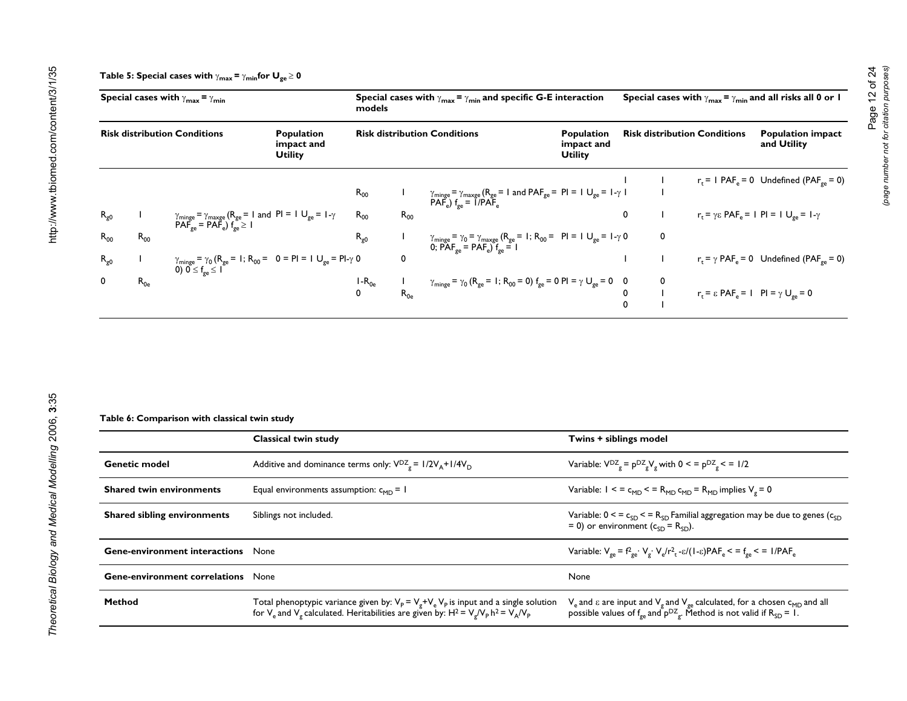**Table 5: Special cases with** γ**max =** γ**minfor Uge** ≥ **0**

| Special cases with $\gamma_{\text{max}} = \gamma_{\text{min}}$ |              |                                                                                                                                                                    |                                                   | Special cases with $\gamma_{\text{max}} = \gamma_{\text{min}}$ and specific G-E interaction<br>models |          |                                                                                                                                                                                                   |                                                   | Special cases with $\gamma_{\text{max}} = \gamma_{\text{min}}$ and all risks all 0 or 1 |   |                                                                   |                                                                                      |
|----------------------------------------------------------------|--------------|--------------------------------------------------------------------------------------------------------------------------------------------------------------------|---------------------------------------------------|-------------------------------------------------------------------------------------------------------|----------|---------------------------------------------------------------------------------------------------------------------------------------------------------------------------------------------------|---------------------------------------------------|-----------------------------------------------------------------------------------------|---|-------------------------------------------------------------------|--------------------------------------------------------------------------------------|
|                                                                |              | <b>Risk distribution Conditions</b>                                                                                                                                | <b>Population</b><br>impact and<br><b>Utility</b> |                                                                                                       |          | <b>Risk distribution Conditions</b>                                                                                                                                                               | <b>Population</b><br>impact and<br><b>Utility</b> |                                                                                         |   | <b>Risk distribution Conditions</b>                               | <b>Population impact</b><br>and Utility                                              |
|                                                                |              |                                                                                                                                                                    |                                                   | $R_{00}$                                                                                              |          | $\gamma_{\text{minge}} = \gamma_{\text{maxge}} (R_{\text{ge}} = 1 \text{ and } PAF_{\text{ge}} = PI = I \cup_{\text{ge}} = I - \gamma I$<br>PAF <sub>e</sub> ) $f_{\text{ge}} = I/PAF_{\text{e}}$ |                                                   |                                                                                         |   |                                                                   | $r_t = 1$ PAF <sub>e</sub> = 0 Undefined (PAF <sub>se</sub> = 0)                     |
| $R_{g0}$                                                       |              | $\gamma_{\text{minge}} = \gamma_{\text{maxge}} (R_{ge} = 1 \text{ and } Pl = 1 \cup_{ge} = 1-\gamma$<br>PAF <sub>ge</sub> = PAF <sub>e</sub> ) f <sub>ge</sub> > 1 |                                                   | $R_{00}$                                                                                              | $R_{00}$ |                                                                                                                                                                                                   |                                                   | 0                                                                                       |   |                                                                   | $r_t = \gamma \varepsilon$ PAF <sub>e</sub> = 1 PI = 1 U <sub>ge</sub> = 1- $\gamma$ |
| $R_{00}$                                                       | $R_{00}$     |                                                                                                                                                                    |                                                   | $R_{g0}$                                                                                              |          | $\gamma_{\text{minge}} = \gamma_0 = \gamma_{\text{maxge}} (R_{ge} = 1; R_{00} = Pl = 1 U_{ge} = 1 - \gamma 0$<br>0; $\text{PAF}_{ge} = \text{PAF}_{e}$ ) $f_{ee} = 1$                             |                                                   |                                                                                         | 0 |                                                                   |                                                                                      |
| $R_{g0}$                                                       |              | $\gamma_{\text{minge}} = \gamma_0 (R_{\text{ge}} = 1; R_{00} = 0 = \text{PI} = 1 \cup_{\text{ge}} = \text{PI} - \gamma 0$<br>0) $0 \le f_{\text{ge}} \le 1$        |                                                   |                                                                                                       | 0        |                                                                                                                                                                                                   |                                                   |                                                                                         |   |                                                                   | $r_t = \gamma PAF_e = 0$ Undefined (PAF <sub>se</sub> = 0)                           |
| $^{\circ}$                                                     | $\rm R_{0e}$ |                                                                                                                                                                    |                                                   | $I-R_{0e}$                                                                                            | $R_{0e}$ | $\gamma_{\text{minge}} = \gamma_0 (R_{ge} = 1; R_{00} = 0) f_{ge} = 0 \text{ PI} = \gamma U_{ge} = 0$ 0                                                                                           |                                                   |                                                                                         |   | $r_t = \varepsilon$ PAF <sub>e</sub> = 1 PI = $\gamma U_{ge} = 0$ |                                                                                      |

**Table 6: Comparison with classical twin study**

|                                           | Classical twin study                                                                                                                                                                                         | Twins + siblings model                                                                                                                                                                             |
|-------------------------------------------|--------------------------------------------------------------------------------------------------------------------------------------------------------------------------------------------------------------|----------------------------------------------------------------------------------------------------------------------------------------------------------------------------------------------------|
| <b>Genetic model</b>                      | Additive and dominance terms only: $\text{V}^{\text{DZ}}_{\text{g}} = 1/2\text{V}_{\text{A}} + 1/4\text{V}_{\text{D}}$                                                                                       | Variable: $V^{DZ}_{\sigma} = p^{DZ}_{\sigma} V_{\sigma}$ with $0 \leq p^{DZ}_{\sigma} \leq 1/2$                                                                                                    |
| <b>Shared twin environments</b>           | Equal environments assumption: $c_{MD} = 1$                                                                                                                                                                  | Variable: $1 \leq z_{MD} \leq R_{MD} c_{MD} = R_{MD}$ implies $V_g = 0$                                                                                                                            |
| <b>Shared sibling environments</b>        | Siblings not included.                                                                                                                                                                                       | Variable: $0 \leq c_{5D} \leq R_{5D}$ Familial aggregation may be due to genes ( $c_{5D}$ )<br>= 0) or environment $(c_{SD} = R_{SD})$ .                                                           |
| <b>Gene-environment interactions</b>      | None                                                                                                                                                                                                         | Variable: $V_{ge} = f_{ge} \cdot V_{e} \cdot V_{e}/r_{t}^{2} - \varepsilon/(1-\varepsilon)PAF_{e} \le f_{ge} \le 1/PAF_{e}$                                                                        |
| <b>Gene-environment correlations</b> None |                                                                                                                                                                                                              | None                                                                                                                                                                                               |
| Method                                    | Total phenoptypic variance given by: $V_p = V_g + V_e V_p$ is input and a single solution for $V_e$ and $V_g$ calculated. Heritabilities are given by: H <sup>2</sup> = $V_g/V_p$ h <sup>2</sup> = $V_A/V_p$ | $V_e$ and $\varepsilon$ are input and $V_{g}$ and $V_{ge}$ calculated, for a chosen $c_{MD}$ and all possible values of $f_{ge}$ and $p^{DZ}$ <sub>g</sub> . Method is not valid if $R_{SD} = 1$ . |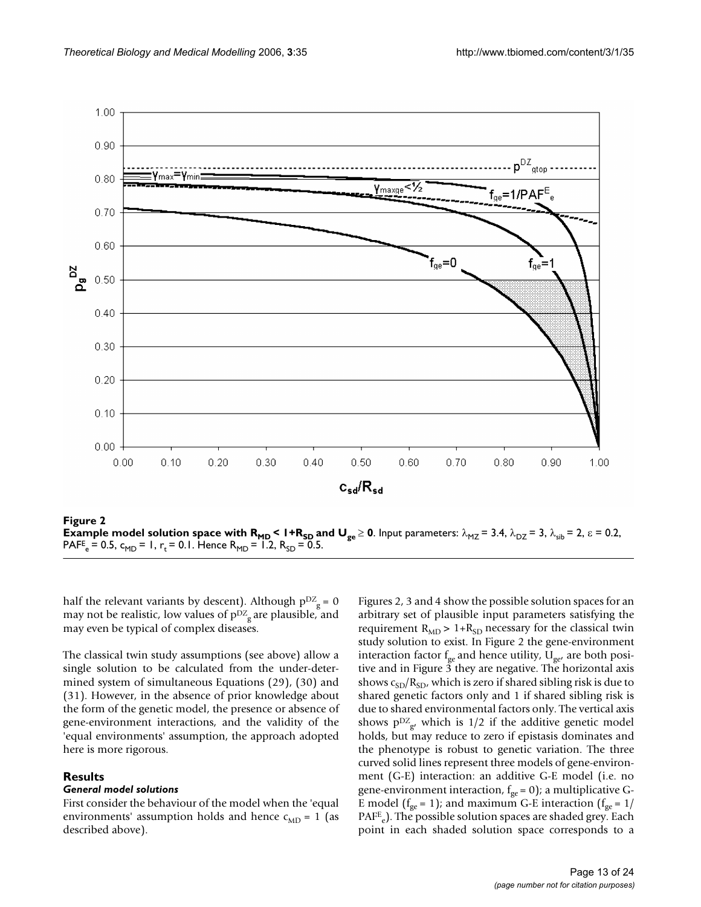

**Example model solution space with**  $R_{MD}$  **< 1+** $R_{SD}$  **and**  $U_{ge} \ge 0$ **. Input parameters:**  $\lambda_{MZ}$  **= 3.4,**  $\lambda_{DZ}$  **= 3,**  $\lambda_{sib}$  **= 2,**  $\varepsilon$  **= 0.2,** PAF<sup>E</sup><sub>e</sub> = 0.5, c<sub>MD</sub> = 1, r<sub>t</sub> = 0.1. Hence R<sub>MD</sub> = 1.2, R<sub>SD</sub> = 0.5.

half the relevant variants by descent). Although  $p^{DZ}$ <sub>g</sub> = 0 may not be realistic, low values of  $p^{DZ}$ <sub>g</sub> are plausible, and may even be typical of complex diseases.

The classical twin study assumptions (see above) allow a single solution to be calculated from the under-determined system of simultaneous Equations (29), (30) and (31). However, in the absence of prior knowledge about the form of the genetic model, the presence or absence of gene-environment interactions, and the validity of the 'equal environments' assumption, the approach adopted here is more rigorous.

### **Results**

### *General model solutions*

First consider the behaviour of the model when the 'equal environments' assumption holds and hence  $c<sub>MD</sub> = 1$  (as described above).

Figures 2, 3 and 4 show the possible solution spaces for an arbitrary set of plausible input parameters satisfying the requirement  $R_{MD} > 1 + R_{SD}$  necessary for the classical twin study solution to exist. In Figure 2 the gene-environment interaction factor  $f_{ge}$  and hence utility,  $U_{ge}$  are both positive and in Figure 3 they are negative. The horizontal axis shows  $c_{SD}/R_{SD}$ , which is zero if shared sibling risk is due to shared genetic factors only and 1 if shared sibling risk is due to shared environmental factors only. The vertical axis shows  $p^{DZ}_{g}$ , which is 1/2 if the additive genetic model holds, but may reduce to zero if epistasis dominates and the phenotype is robust to genetic variation. The three curved solid lines represent three models of gene-environment (G-E) interaction: an additive G-E model (i.e. no gene-environment interaction,  $f_{ge} = 0$ ); a multiplicative G-E model ( $f_{ge}$  = 1); and maximum G-E interaction ( $f_{ge}$  = 1/ PAFE e). The possible solution spaces are shaded grey. Each point in each shaded solution space corresponds to a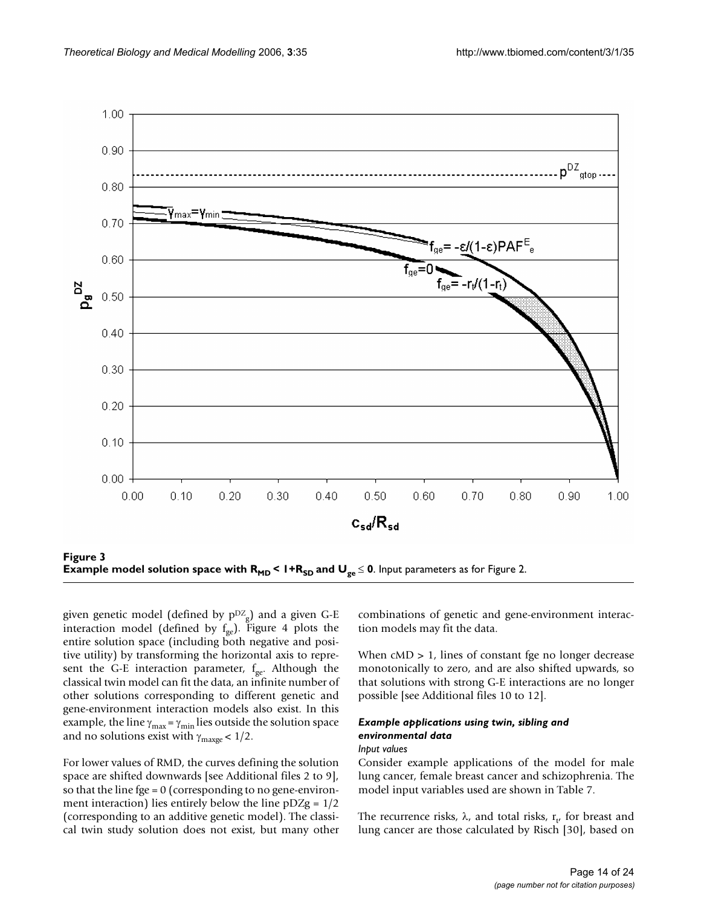

 ${\sf Example}$  model solution space with  ${\sf R}_{\sf MD}$  < 1+ ${\sf R}_{\sf SD}$  and  ${\sf U}_{\rm ge}$   $\leq$  0. Input parameters as for Figure 2.

given genetic model (defined by  $p^{DZ}_{g}$ ) and a given G-E interaction model (defined by  $f_{ge}$ ). Figure 4 plots the entire solution space (including both negative and positive utility) by transforming the horizontal axis to represent the G-E interaction parameter,  $f_{ge}$ . Although the classical twin model can fit the data, an infinite number of other solutions corresponding to different genetic and gene-environment interaction models also exist. In this example, the line  $\gamma_{\text{max}} = \gamma_{\text{min}}$  lies outside the solution space and no solutions exist with  $\gamma_{\text{maxge}} < 1/2$ .

For lower values of RMD, the curves defining the solution space are shifted downwards [see Additional files 2 to 9], so that the line fge  $= 0$  (corresponding to no gene-environment interaction) lies entirely below the line  $pDZg = 1/2$ (corresponding to an additive genetic model). The classical twin study solution does not exist, but many other

combinations of genetic and gene-environment interaction models may fit the data.

When cMD > 1, lines of constant fge no longer decrease monotonically to zero, and are also shifted upwards, so that solutions with strong G-E interactions are no longer possible [see Additional files 10 to 12].

#### *Example applications using twin, sibling and environmental data Input values*

Consider example applications of the model for male lung cancer, female breast cancer and schizophrenia. The model input variables used are shown in Table 7.

The recurrence risks,  $\lambda$ , and total risks,  $r_{t}$ , for breast and lung cancer are those calculated by Risch [30], based on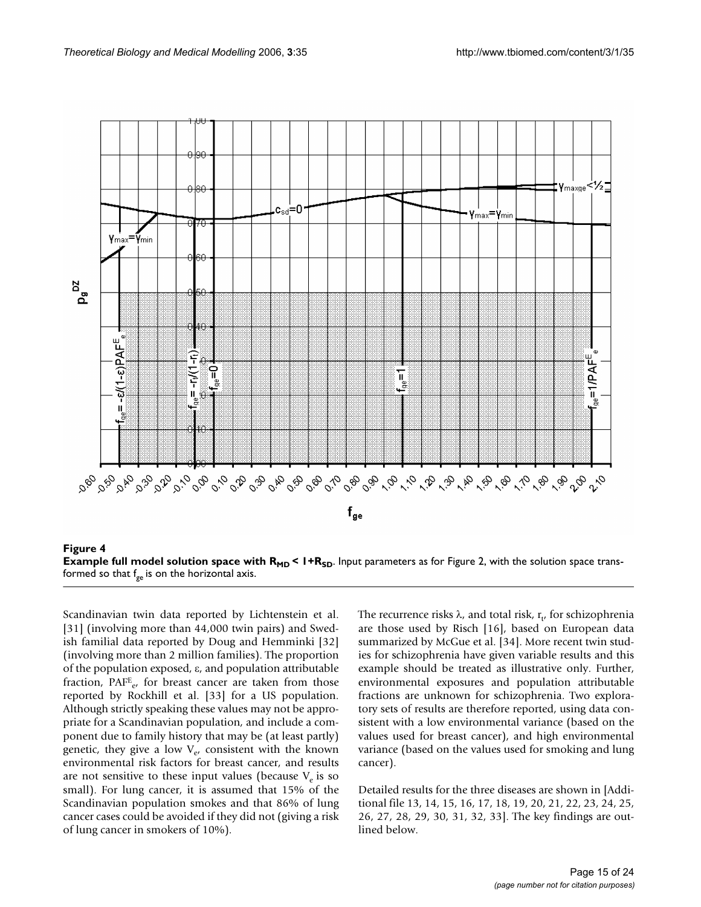

**Figure 4 Example full model solution space with R<sub>MD</sub> < 1+R<sub>SD</sub>. Input parameters as for Figure 2, with the solution space trans**formed so that  $f_{ge}$  is on the horizontal axis.

Scandinavian twin data reported by Lichtenstein et al. [31] (involving more than 44,000 twin pairs) and Swedish familial data reported by Doug and Hemminki [32] (involving more than 2 million families). The proportion of the population exposed, ε, and population attributable fraction, PAF<sup>E</sup><sub>e</sub>, for breast cancer are taken from those reported by Rockhill et al. [33] for a US population. Although strictly speaking these values may not be appropriate for a Scandinavian population, and include a component due to family history that may be (at least partly) genetic, they give a low  $V_{e'}$  consistent with the known environmental risk factors for breast cancer, and results are not sensitive to these input values (because  $V_e$  is so small). For lung cancer, it is assumed that 15% of the Scandinavian population smokes and that 86% of lung cancer cases could be avoided if they did not (giving a risk of lung cancer in smokers of 10%).

The recurrence risks  $\lambda$ , and total risk,  $r_{t'}$  for schizophrenia are those used by Risch [16], based on European data summarized by McGue et al. [34]. More recent twin studies for schizophrenia have given variable results and this example should be treated as illustrative only. Further, environmental exposures and population attributable fractions are unknown for schizophrenia. Two exploratory sets of results are therefore reported, using data consistent with a low environmental variance (based on the values used for breast cancer), and high environmental variance (based on the values used for smoking and lung cancer).

Detailed results for the three diseases are shown in [Additional file 13, 14, 15, 16, 17, 18, 19, 20, 21, 22, 23, 24, 25, 26, 27, 28, 29, 30, 31, 32, 33]. The key findings are outlined below.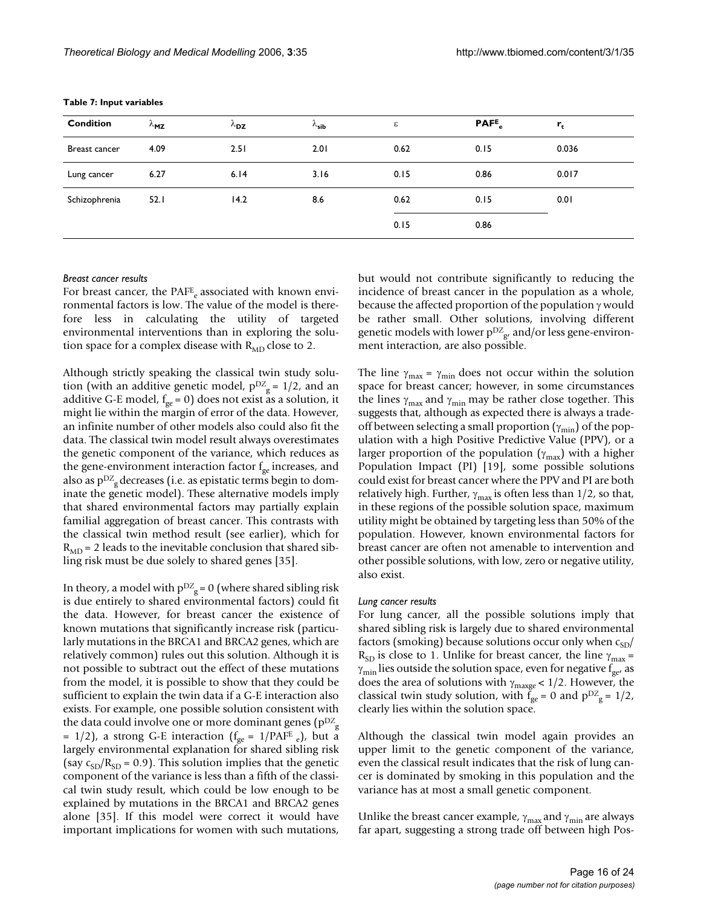| Condition     | $^{\wedge}$ MZ | $\lambda_{\text{DZ}}$ | $\lambda_{\rm sib}$ | ε    | PAFE <sub>e</sub> | $r_{\rm t}$ |
|---------------|----------------|-----------------------|---------------------|------|-------------------|-------------|
| Breast cancer | 4.09           | 2.51                  | 2.01                | 0.62 | 0.15              | 0.036       |
| Lung cancer   | 6.27           | 6.14                  | 3.16                | 0.15 | 0.86              | 0.017       |
| Schizophrenia | 52.1           | 14.2                  | 8.6                 | 0.62 | 0.15              | 0.01        |
|               |                |                       |                     | 0.15 | 0.86              |             |

#### **Table 7: Input variables**

#### *Breast cancer results*

For breast cancer, the PAF<sup>E</sup><sub>e</sub> associated with known environmental factors is low. The value of the model is therefore less in calculating the utility of targeted environmental interventions than in exploring the solution space for a complex disease with  $R_{MD}$  close to 2.

Although strictly speaking the classical twin study solution (with an additive genetic model,  $p^{DZ}$ <sub>g</sub> = 1/2, and an additive G-E model,  $f_{ge} = 0$ ) does not exist as a solution, it might lie within the margin of error of the data. However, an infinite number of other models also could also fit the data. The classical twin model result always overestimates the genetic component of the variance, which reduces as the gene-environment interaction factor  $f_{ge}$  increases, and also as  $p^{DZ}$ <sub>g</sub> decreases (i.e. as epistatic terms begin to dominate the genetic model). These alternative models imply that shared environmental factors may partially explain familial aggregation of breast cancer. This contrasts with the classical twin method result (see earlier), which for  $R<sub>MD</sub>$  = 2 leads to the inevitable conclusion that shared sibling risk must be due solely to shared genes [35].

In theory, a model with  $p^{DZ}$ <sub>g</sub> = 0 (where shared sibling risk is due entirely to shared environmental factors) could fit the data. However, for breast cancer the existence of known mutations that significantly increase risk (particularly mutations in the BRCA1 and BRCA2 genes, which are relatively common) rules out this solution. Although it is not possible to subtract out the effect of these mutations from the model, it is possible to show that they could be sufficient to explain the twin data if a G-E interaction also exists. For example, one possible solution consistent with the data could involve one or more dominant genes ( $p^{DZ}$ <sub>g</sub> = 1/2), a strong G-E interaction ( $f_{ge}$  = 1/PAFE e), but a largely environmental explanation for shared sibling risk (say  $c_{SD}/R_{SD}$  = 0.9). This solution implies that the genetic component of the variance is less than a fifth of the classical twin study result, which could be low enough to be explained by mutations in the BRCA1 and BRCA2 genes alone [35]. If this model were correct it would have important implications for women with such mutations,

but would not contribute significantly to reducing the incidence of breast cancer in the population as a whole, because the affected proportion of the population γ would be rather small. Other solutions, involving different genetic models with lower  $\mathtt{p}\textsuperscript{DZ}_\mathtt{g\prime}$  and/or less gene-environment interaction, are also possible.

The line  $\gamma_{\text{max}} = \gamma_{\text{min}}$  does not occur within the solution space for breast cancer; however, in some circumstances the lines  $\gamma_{\text{max}}$  and  $\gamma_{\text{min}}$  may be rather close together. This suggests that, although as expected there is always a tradeoff between selecting a small proportion  $(\gamma_{\min})$  of the population with a high Positive Predictive Value (PPV), or a larger proportion of the population ( $\gamma_{\text{max}}$ ) with a higher Population Impact (PI) [19], some possible solutions could exist for breast cancer where the PPV and PI are both relatively high. Further,  $\gamma_{\text{max}}$  is often less than 1/2, so that, in these regions of the possible solution space, maximum utility might be obtained by targeting less than 50% of the population. However, known environmental factors for breast cancer are often not amenable to intervention and other possible solutions, with low, zero or negative utility, also exist.

#### *Lung cancer results*

For lung cancer, all the possible solutions imply that shared sibling risk is largely due to shared environmental factors (smoking) because solutions occur only when  $c_{SD}/$  $R_{SD}$  is close to 1. Unlike for breast cancer, the line  $\gamma_{max}$  =  $\gamma_{\rm min}$  lies outside the solution space, even for negative  $f_{\rm ge}$ , as does the area of solutions with  $\gamma_{\rm{maxge}} < 1/2$ . However, the classical twin study solution, with  $f_{ge} = 0$  and  $p^{DZ}g = 1/2$ , clearly lies within the solution space.

Although the classical twin model again provides an upper limit to the genetic component of the variance, even the classical result indicates that the risk of lung cancer is dominated by smoking in this population and the variance has at most a small genetic component.

Unlike the breast cancer example,  $\gamma_{\text{max}}$  and  $\gamma_{\text{min}}$  are always far apart, suggesting a strong trade off between high Pos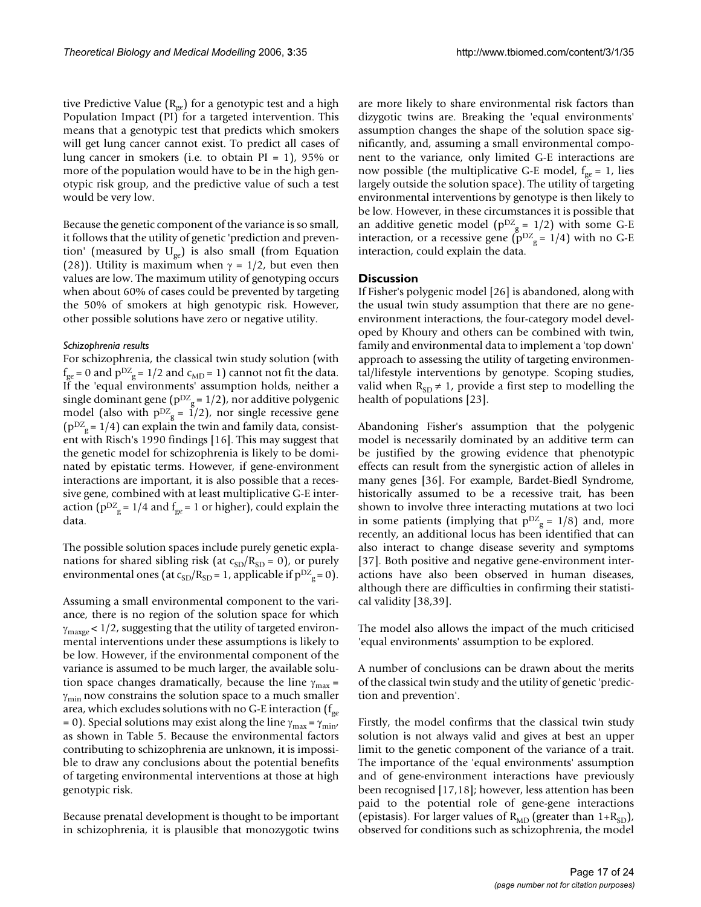tive Predictive Value  $(R_{ge})$  for a genotypic test and a high Population Impact (PI) for a targeted intervention. This means that a genotypic test that predicts which smokers will get lung cancer cannot exist. To predict all cases of lung cancer in smokers (i.e. to obtain  $PI = 1$ ), 95% or more of the population would have to be in the high genotypic risk group, and the predictive value of such a test would be very low.

Because the genetic component of the variance is so small, it follows that the utility of genetic 'prediction and prevention' (measured by  $U_{ge}$ ) is also small (from Equation (28)). Utility is maximum when  $\gamma = 1/2$ , but even then values are low. The maximum utility of genotyping occurs when about 60% of cases could be prevented by targeting the 50% of smokers at high genotypic risk. However, other possible solutions have zero or negative utility.

#### *Schizophrenia results*

For schizophrenia, the classical twin study solution (with  $\rm{f_{ge}=0}$  and  $\rm{p^{DZ}_{\phantom{D}g}=1/2}$  and  $\rm{c_{MD}=1}$  ) cannot not fit the data. If the 'equal environments' assumption holds, neither a single dominant gene ( $p^{DZ}$ <sub>g</sub> = 1/2), nor additive polygenic model (also with  $p^{DZ}$ <sub>g</sub> = 1/2), nor single recessive gene  $(p^{DZ}_{g} = 1/4)$  can explain the twin and family data, consistent with Risch's 1990 findings [16]. This may suggest that the genetic model for schizophrenia is likely to be dominated by epistatic terms. However, if gene-environment interactions are important, it is also possible that a recessive gene, combined with at least multiplicative G-E interaction ( $p^{DZ}$ <sub>g</sub> = 1/4 and  $f_{ge}$  = 1 or higher), could explain the data.

The possible solution spaces include purely genetic explanations for shared sibling risk (at  $c_{SD}/R_{SD} = 0$ ), or purely environmental ones (at  $c_{SD}/R_{SD} = 1$ , applicable if  $p^{DZ}$ <sub>g</sub> = 0).

Assuming a small environmental component to the variance, there is no region of the solution space for which  $\gamma_{\text{maxge}}$  < 1/2, suggesting that the utility of targeted environmental interventions under these assumptions is likely to be low. However, if the environmental component of the variance is assumed to be much larger, the available solution space changes dramatically, because the line  $\gamma_{\text{max}} =$  $\gamma_{\text{min}}$  now constrains the solution space to a much smaller area, which excludes solutions with no G-E interaction ( $f_{ge}$ = 0). Special solutions may exist along the line  $\gamma_{\text{max}} = \gamma_{\text{min}}$ , as shown in Table 5. Because the environmental factors contributing to schizophrenia are unknown, it is impossible to draw any conclusions about the potential benefits of targeting environmental interventions at those at high genotypic risk.

Because prenatal development is thought to be important in schizophrenia, it is plausible that monozygotic twins

are more likely to share environmental risk factors than dizygotic twins are. Breaking the 'equal environments' assumption changes the shape of the solution space significantly, and, assuming a small environmental component to the variance, only limited G-E interactions are now possible (the multiplicative G-E model,  $f_{ge} = 1$ , lies largely outside the solution space). The utility of targeting environmental interventions by genotype is then likely to be low. However, in these circumstances it is possible that an additive genetic model ( $p^{DZ}$ <sub>g</sub> = 1/2) with some G-E interaction, or a recessive gene ( $p^{DZ}$ <sub>g</sub> = 1/4) with no G-E interaction, could explain the data.

#### **Discussion**

If Fisher's polygenic model [26] is abandoned, along with the usual twin study assumption that there are no geneenvironment interactions, the four-category model developed by Khoury and others can be combined with twin, family and environmental data to implement a 'top down' approach to assessing the utility of targeting environmental/lifestyle interventions by genotype. Scoping studies, valid when  $R_{SD} \neq 1$ , provide a first step to modelling the health of populations [23].

Abandoning Fisher's assumption that the polygenic model is necessarily dominated by an additive term can be justified by the growing evidence that phenotypic effects can result from the synergistic action of alleles in many genes [36]. For example, Bardet-Biedl Syndrome, historically assumed to be a recessive trait, has been shown to involve three interacting mutations at two loci in some patients (implying that  $p^{DZ}$ <sub>g</sub> = 1/8) and, more recently, an additional locus has been identified that can also interact to change disease severity and symptoms [37]. Both positive and negative gene-environment interactions have also been observed in human diseases, although there are difficulties in confirming their statistical validity [38,39].

The model also allows the impact of the much criticised 'equal environments' assumption to be explored.

A number of conclusions can be drawn about the merits of the classical twin study and the utility of genetic 'prediction and prevention'.

Firstly, the model confirms that the classical twin study solution is not always valid and gives at best an upper limit to the genetic component of the variance of a trait. The importance of the 'equal environments' assumption and of gene-environment interactions have previously been recognised [17,18]; however, less attention has been paid to the potential role of gene-gene interactions (epistasis). For larger values of  $R_{MD}$  (greater than  $1+R_{SD}$ ), observed for conditions such as schizophrenia, the model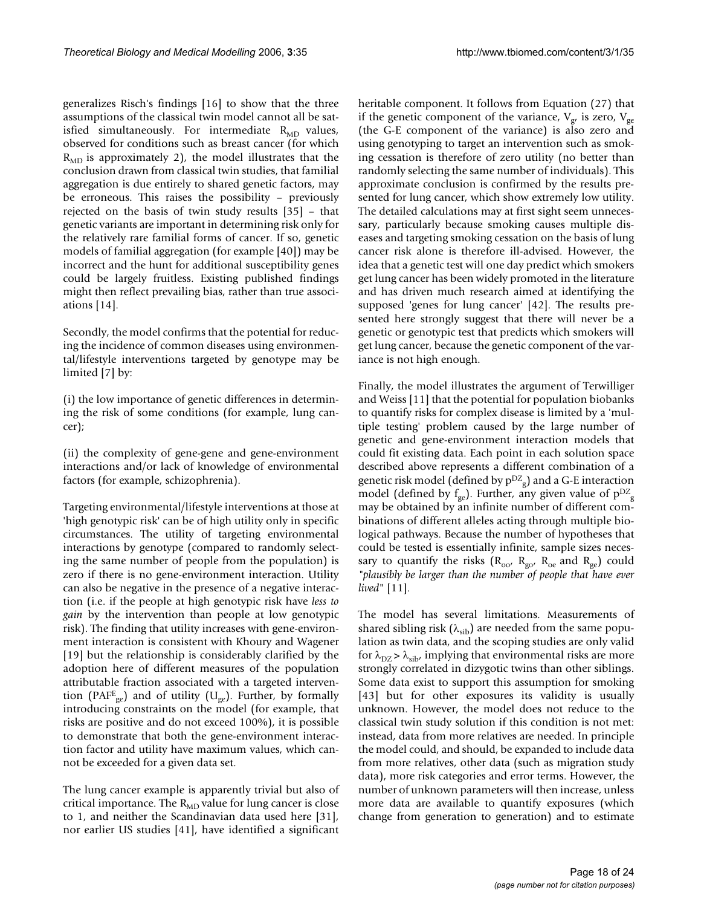generalizes Risch's findings [16] to show that the three assumptions of the classical twin model cannot all be satisfied simultaneously. For intermediate  $R_{MD}$  values, observed for conditions such as breast cancer (for which  $R<sub>MD</sub>$  is approximately 2), the model illustrates that the conclusion drawn from classical twin studies, that familial aggregation is due entirely to shared genetic factors, may be erroneous. This raises the possibility – previously rejected on the basis of twin study results [35] – that genetic variants are important in determining risk only for the relatively rare familial forms of cancer. If so, genetic models of familial aggregation (for example [40]) may be incorrect and the hunt for additional susceptibility genes could be largely fruitless. Existing published findings might then reflect prevailing bias, rather than true associations [14].

Secondly, the model confirms that the potential for reducing the incidence of common diseases using environmental/lifestyle interventions targeted by genotype may be limited [7] by:

(i) the low importance of genetic differences in determining the risk of some conditions (for example, lung cancer);

(ii) the complexity of gene-gene and gene-environment interactions and/or lack of knowledge of environmental factors (for example, schizophrenia).

Targeting environmental/lifestyle interventions at those at 'high genotypic risk' can be of high utility only in specific circumstances. The utility of targeting environmental interactions by genotype (compared to randomly selecting the same number of people from the population) is zero if there is no gene-environment interaction. Utility can also be negative in the presence of a negative interaction (i.e. if the people at high genotypic risk have *less to gain* by the intervention than people at low genotypic risk). The finding that utility increases with gene-environment interaction is consistent with Khoury and Wagener [19] but the relationship is considerably clarified by the adoption here of different measures of the population attributable fraction associated with a targeted intervention (PAF<sup>E</sup><sub>ge</sub>) and of utility (U<sub>ge</sub>). Further, by formally introducing constraints on the model (for example, that risks are positive and do not exceed 100%), it is possible to demonstrate that both the gene-environment interaction factor and utility have maximum values, which cannot be exceeded for a given data set.

The lung cancer example is apparently trivial but also of critical importance. The  $R_{MD}$  value for lung cancer is close to 1, and neither the Scandinavian data used here [31], nor earlier US studies [41], have identified a significant

heritable component. It follows from Equation (27) that if the genetic component of the variance,  $V_{\rm g}$ , is zero,  $V_{\rm g}$ (the G-E component of the variance) is also zero and using genotyping to target an intervention such as smoking cessation is therefore of zero utility (no better than randomly selecting the same number of individuals). This approximate conclusion is confirmed by the results presented for lung cancer, which show extremely low utility. The detailed calculations may at first sight seem unnecessary, particularly because smoking causes multiple diseases and targeting smoking cessation on the basis of lung cancer risk alone is therefore ill-advised. However, the idea that a genetic test will one day predict which smokers get lung cancer has been widely promoted in the literature and has driven much research aimed at identifying the supposed 'genes for lung cancer' [42]. The results presented here strongly suggest that there will never be a genetic or genotypic test that predicts which smokers will get lung cancer, because the genetic component of the variance is not high enough.

Finally, the model illustrates the argument of Terwilliger and Weiss [11] that the potential for population biobanks to quantify risks for complex disease is limited by a 'multiple testing' problem caused by the large number of genetic and gene-environment interaction models that could fit existing data. Each point in each solution space described above represents a different combination of a genetic risk model (defined by  $p^{DZ}$ <sub>g</sub>) and a G-E interaction model (defined by  $f_{ge}$ ). Further, any given value of  $p^{DZ}$ <sub>g</sub> may be obtained by an infinite number of different combinations of different alleles acting through multiple biological pathways. Because the number of hypotheses that could be tested is essentially infinite, sample sizes necessary to quantify the risks  $(R_{oo}$ ,  $R_{go}$ ,  $R_{oe}$  and  $R_{ge}$ ) could *"plausibly be larger than the number of people that have ever lived*" [11].

The model has several limitations. Measurements of shared sibling risk  $(\lambda_{\rm sib})$  are needed from the same population as twin data, and the scoping studies are only valid for  $\lambda_{\text{DZ}} > \lambda_{\text{sib}}$ , implying that environmental risks are more strongly correlated in dizygotic twins than other siblings. Some data exist to support this assumption for smoking [43] but for other exposures its validity is usually unknown. However, the model does not reduce to the classical twin study solution if this condition is not met: instead, data from more relatives are needed. In principle the model could, and should, be expanded to include data from more relatives, other data (such as migration study data), more risk categories and error terms. However, the number of unknown parameters will then increase, unless more data are available to quantify exposures (which change from generation to generation) and to estimate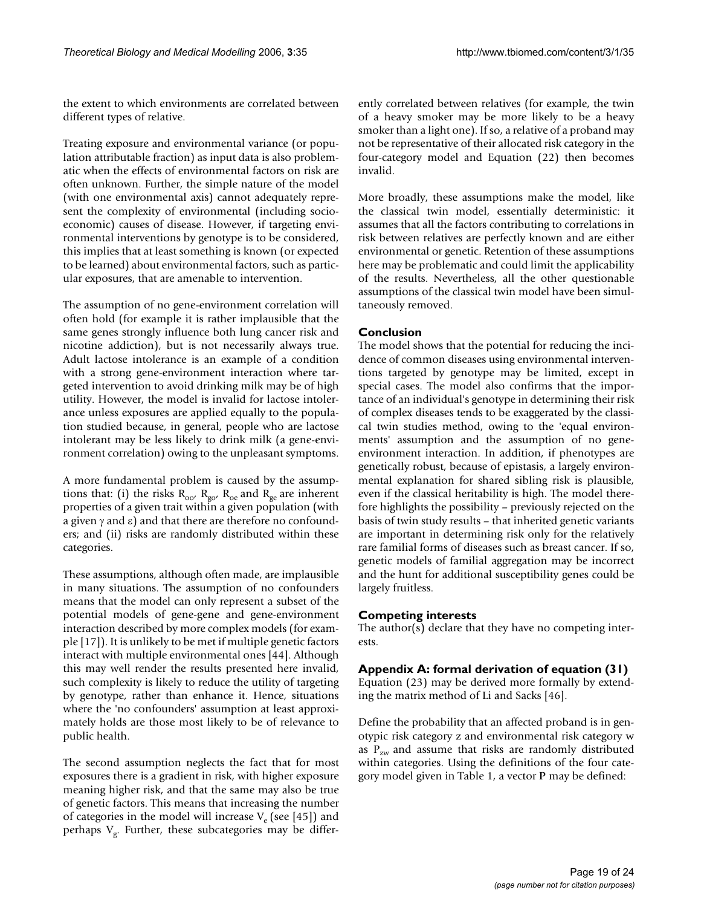the extent to which environments are correlated between different types of relative.

Treating exposure and environmental variance (or population attributable fraction) as input data is also problematic when the effects of environmental factors on risk are often unknown. Further, the simple nature of the model (with one environmental axis) cannot adequately represent the complexity of environmental (including socioeconomic) causes of disease. However, if targeting environmental interventions by genotype is to be considered, this implies that at least something is known (or expected to be learned) about environmental factors, such as particular exposures, that are amenable to intervention.

The assumption of no gene-environment correlation will often hold (for example it is rather implausible that the same genes strongly influence both lung cancer risk and nicotine addiction), but is not necessarily always true. Adult lactose intolerance is an example of a condition with a strong gene-environment interaction where targeted intervention to avoid drinking milk may be of high utility. However, the model is invalid for lactose intolerance unless exposures are applied equally to the population studied because, in general, people who are lactose intolerant may be less likely to drink milk (a gene-environment correlation) owing to the unpleasant symptoms.

A more fundamental problem is caused by the assumptions that: (i) the risks  $R_{oo}$ ,  $R_{go}$ ,  $R_{oe}$  and  $R_{ge}$  are inherent properties of a given trait within a given population (with a given  $\gamma$  and  $\varepsilon$ ) and that there are therefore no confounders; and (ii) risks are randomly distributed within these categories.

These assumptions, although often made, are implausible in many situations. The assumption of no confounders means that the model can only represent a subset of the potential models of gene-gene and gene-environment interaction described by more complex models (for example [17]). It is unlikely to be met if multiple genetic factors interact with multiple environmental ones [44]. Although this may well render the results presented here invalid, such complexity is likely to reduce the utility of targeting by genotype, rather than enhance it. Hence, situations where the 'no confounders' assumption at least approximately holds are those most likely to be of relevance to public health.

The second assumption neglects the fact that for most exposures there is a gradient in risk, with higher exposure meaning higher risk, and that the same may also be true of genetic factors. This means that increasing the number of categories in the model will increase  $V_e$  (see [45]) and perhaps  $V_g$ . Further, these subcategories may be differently correlated between relatives (for example, the twin of a heavy smoker may be more likely to be a heavy smoker than a light one). If so, a relative of a proband may not be representative of their allocated risk category in the four-category model and Equation (22) then becomes invalid.

More broadly, these assumptions make the model, like the classical twin model, essentially deterministic: it assumes that all the factors contributing to correlations in risk between relatives are perfectly known and are either environmental or genetic. Retention of these assumptions here may be problematic and could limit the applicability of the results. Nevertheless, all the other questionable assumptions of the classical twin model have been simultaneously removed.

### **Conclusion**

The model shows that the potential for reducing the incidence of common diseases using environmental interventions targeted by genotype may be limited, except in special cases. The model also confirms that the importance of an individual's genotype in determining their risk of complex diseases tends to be exaggerated by the classical twin studies method, owing to the 'equal environments' assumption and the assumption of no geneenvironment interaction. In addition, if phenotypes are genetically robust, because of epistasis, a largely environmental explanation for shared sibling risk is plausible, even if the classical heritability is high. The model therefore highlights the possibility – previously rejected on the basis of twin study results – that inherited genetic variants are important in determining risk only for the relatively rare familial forms of diseases such as breast cancer. If so, genetic models of familial aggregation may be incorrect and the hunt for additional susceptibility genes could be largely fruitless.

### **Competing interests**

The author(s) declare that they have no competing interests.

### **Appendix A: formal derivation of equation (31)**

Equation (23) may be derived more formally by extending the matrix method of Li and Sacks [46].

Define the probability that an affected proband is in genotypic risk category z and environmental risk category w as  $P_{zw}$  and assume that risks are randomly distributed within categories. Using the definitions of the four category model given in Table 1, a vector **P** may be defined: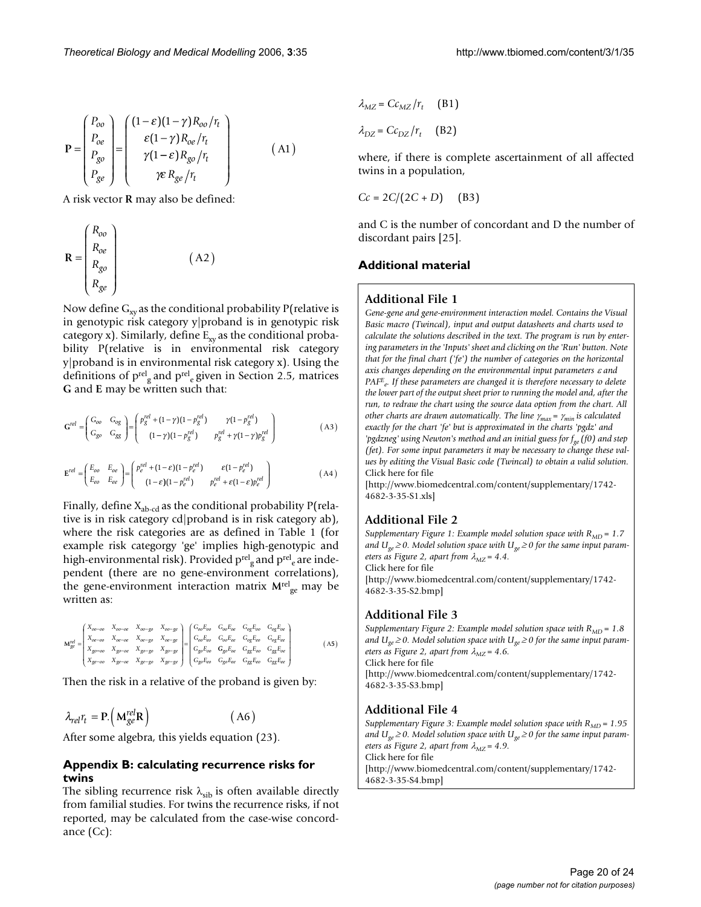$$
\mathbf{P} = \begin{pmatrix} P_{oo} \\ P_{oe} \\ P_{go} \\ P_{go} \end{pmatrix} = \begin{pmatrix} (1 - \varepsilon)(1 - \gamma)R_{oo}/r_t \\ \varepsilon(1 - \gamma)R_{oe}/r_t \\ \gamma(1 - \varepsilon)R_{go}/r_t \\ \gamma \varepsilon R_{ge}/r_t \end{pmatrix}
$$
(A1)

A risk vector **R** may also be defined:

$$
\mathbf{R} = \begin{pmatrix} R_{oo} \\ R_{oe} \\ R_{go} \\ R_{ge} \end{pmatrix}
$$
 (A2)

Now define  $G_{xy}$  as the conditional probability P(relative is in genotypic risk category y|proband is in genotypic risk category x). Similarly, define  $E_{xy}$  as the conditional probability P(relative is in environmental risk category y|proband is in environmental risk category x). Using the definitions of p<sup>rel</sup><sub>g</sub> and p<sup>rel</sup><sub>e</sub> given in Section 2.5, matrices **G** and **E** may be written such that:

$$
\mathbf{G}^{rel} = \begin{pmatrix} G_{oo} & G_{og} \\ G_{go} & G_{gg} \end{pmatrix} = \begin{pmatrix} p_g^{rel} + (1 - \gamma)(1 - p_g^{rel}) & \gamma(1 - p_g^{rel}) \\ (1 - \gamma)(1 - p_g^{rel}) & p_g^{rel} + \gamma(1 - \gamma)p_g^{rel} \end{pmatrix}
$$
(A3)

$$
\mathbf{E}^{rel} = \begin{pmatrix} E_{oo} & E_{oe} \\ E_{eo} & E_{ee} \end{pmatrix} = \begin{pmatrix} p_e^{rel} + (1 - \varepsilon)(1 - p_e^{rel}) & \varepsilon(1 - p_e^{rel}) \\ (1 - \varepsilon)(1 - p_e^{rel}) & p_e^{rel} + \varepsilon(1 - \varepsilon)p_e^{rel} \end{pmatrix} \tag{A4}
$$

Finally, define  $X_{ab-cd}$  as the conditional probability P(relative is in risk category cd|proband is in risk category ab), where the risk categories are as defined in Table 1 (for example risk categorgy 'ge' implies high-genotypic and high-environmental risk). Provided p<sup>rel</sup><sub>g</sub> and p<sup>rel</sup><sub>e</sub> are independent (there are no gene-environment correlations), the gene-environment interaction matrix **M**rel ge may be written as:

$$
M_{ge}^{rel} = \begin{pmatrix} X_{oo-oo} & X_{oo-oe} & X_{oo-go} & X_{oo-ge} \\ X_{oe-oo} & X_{oe-oe} & X_{oe-go} & X_{oe-ge} \\ X_{go-oo} & X_{go-oe} & X_{go-go} & X_{go-ge} \\ X_{go-oo} & X_{go-oe} & X_{go-go} & X_{go-ge} \end{pmatrix} = \begin{pmatrix} G_{oo}E_{oo} & G_{oo}E_{oe} & G_{og}E_{oo} & G_{og}E_{eo} \\ G_{oo}E_{oo} & G_{oo}E_{oe} & G_{og}E_{oo} & G_{og}E_{eo} \\ G_{go}E_{oo} & G_{go}E_{oe} & G_{gg}E_{oe} & G_{gg}E_{oe} \\ G_{go}E_{oo} & G_{go}E_{eo} & G_{gg}E_{oe} & G_{gg}E_{eo} \end{pmatrix}
$$
(A5)

Then the risk in a relative of the proband is given by:

$$
\lambda_{rel}r_t = \mathbf{P}.\left(\mathbf{M}_{ge}^{rel}\mathbf{R}\right) \tag{A6}
$$

After some algebra, this yields equation (23).

### **Appendix B: calculating recurrence risks for twins**

The sibling recurrence risk  $\lambda_{\rm sib}$  is often available directly from familial studies. For twins the recurrence risks, if not reported, may be calculated from the case-wise concordance (Cc):

$$
\lambda_{MZ} = C c_{MZ}/r_t \quad \text{(B1)}
$$

 $\lambda_{DZ} = Cc_{DZ}/r_t$  (B2)

where, if there is complete ascertainment of all affected twins in a population,

$$
Cc = 2C/(2C + D) \quad (B3)
$$

and C is the number of concordant and D the number of discordant pairs [25].

### **Additional material**

#### **Additional File 1**

*Gene-gene and gene-environment interaction model. Contains the Visual Basic macro (Twincal), input and output datasheets and charts used to calculate the solutions described in the text. The program is run by entering parameters in the 'Inputs' sheet and clicking on the 'Run' button. Note that for the final chart ('fe') the number of categories on the horizontal axis changes depending on the environmental input parameters* ε *and PAFE e. If these parameters are changed it is therefore necessary to delete the lower part of the output sheet prior to running the model and, after the run, to redraw the chart using the source data option from the chart. All other charts are drawn automatically. The line*  $\gamma_{max} = \gamma_{min}$  is calculated *exactly for the chart 'fe' but is approximated in the charts 'pgdz' and*  'pgdzneg' using Newton's method and an initial guess for  $f_{ge}$  (f0) and step *(fet). For some input parameters it may be necessary to change these values by editing the Visual Basic code (Twincal) to obtain a valid solution.* Click here for file

[\[http://www.biomedcentral.com/content/supplementary/1742-](http://www.biomedcentral.com/content/supplementary/1742-4682-3-35-S1.xls) 4682-3-35-S1.xls]

### **Additional File 2**

*Supplementary Figure 1: Example model solution space with R<sub>MD</sub> = 1.7* and  $U_{ge} \ge 0$ . Model solution space with  $U_{ge} \ge 0$  for the same input param*eters as Figure 2, apart from*  $\lambda_{MZ} = 4.4$ *.* 

Click here for file

[\[http://www.biomedcentral.com/content/supplementary/1742-](http://www.biomedcentral.com/content/supplementary/1742-4682-3-35-S2.bmp) 4682-3-35-S2.bmp]

### **Additional File 3**

*Supplementary Figure 2: Example model solution space with*  $R_{MD} = 1.8$ and  $U_{ge} \geq 0$ . Model solution space with  $U_{ge} \geq 0$  for the same input param*eters as Figure 2, apart from*  $\lambda_{MZ} = 4.6$ *.* Click here for file [\[http://www.biomedcentral.com/content/supplementary/1742-](http://www.biomedcentral.com/content/supplementary/1742-4682-3-35-S3.bmp) 4682-3-35-S3.bmp]

### **Additional File 4**

*Supplementary Figure 3: Example model solution space with R<sub>MD</sub> = 1.95* and  $U_{ge} \geq 0$ . Model solution space with  $U_{ge} \geq 0$  for the same input param*eters as Figure 2, apart from*  $\lambda_{MZ} = 4.9$ . Click here for file [\[http://www.biomedcentral.com/content/supplementary/1742-](http://www.biomedcentral.com/content/supplementary/1742-4682-3-35-S4.bmp) 4682-3-35-S4.bmp]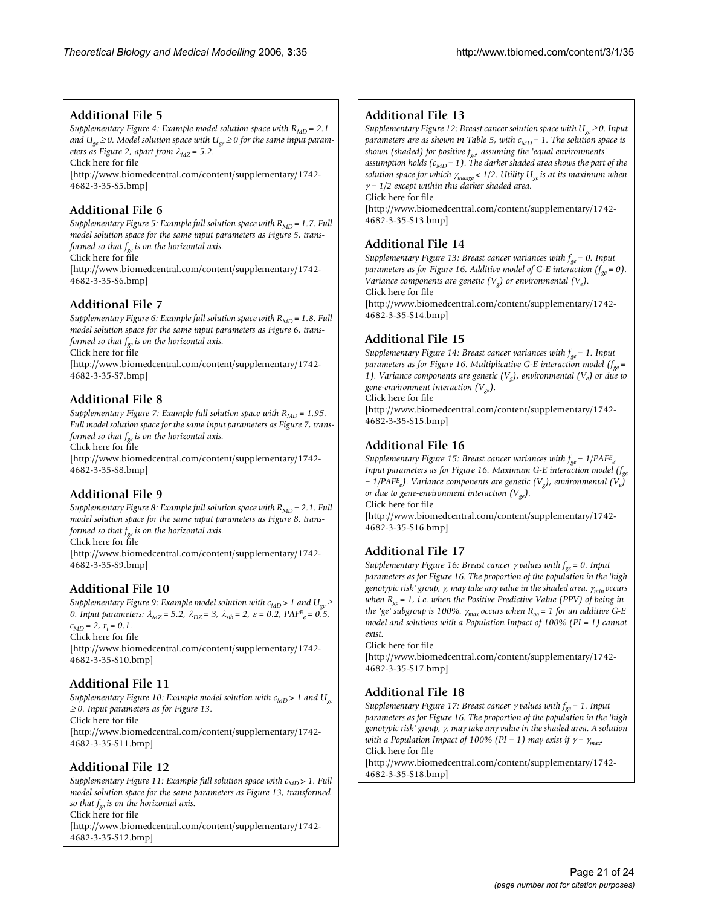### **Additional File 5**

*Supplementary Figure 4: Example model solution space with*  $R_{MD} = 2.1$ and  $U_{ge} \geq 0$ . Model solution space with  $U_{ge} \geq 0$  for the same input param*eters as Figure 2, apart from*  $\lambda_{MZ} = 5.2$ *.* Click here for file

[\[http://www.biomedcentral.com/content/supplementary/1742-](http://www.biomedcentral.com/content/supplementary/1742-4682-3-35-S5.bmp) 4682-3-35-S5.bmp]

# **Additional File 6**

*Supplementary Figure 5: Example full solution space with*  $R_{MD} = 1.7$ *. Full model solution space for the same input parameters as Figure 5, transformed so that f<sub>ge</sub> is on the horizontal axis.* Click here for file

[\[http://www.biomedcentral.com/content/supplementary/1742-](http://www.biomedcentral.com/content/supplementary/1742-4682-3-35-S6.bmp) 4682-3-35-S6.bmp]

# **Additional File 7**

*Supplementary Figure 6: Example full solution space with*  $R_{MD} = 1.8$ *. Full model solution space for the same input parameters as Figure 6, transformed so that f<sub>ge</sub> is on the horizontal axis.* Click here for file [\[http://www.biomedcentral.com/content/supplementary/1742-](http://www.biomedcentral.com/content/supplementary/1742-4682-3-35-S7.bmp) 4682-3-35-S7.bmp]

# **Additional File 8**

*Supplementary Figure 7: Example full solution space with R<sub>MD</sub> = 1.95. Full model solution space for the same input parameters as Figure 7, transformed so that*  $f_{ge}$  *is on the horizontal axis.* Click here for file [\[http://www.biomedcentral.com/content/supplementary/1742-](http://www.biomedcentral.com/content/supplementary/1742-4682-3-35-S8.bmp) 4682-3-35-S8.bmp]

# **Additional File 9**

*Supplementary Figure 8: Example full solution space with*  $R_{MD} = 2.1$ *. Full model solution space for the same input parameters as Figure 8, transformed so that*  $f_{\alpha}$  *is on the horizontal axis.* Click here for file [\[http://www.biomedcentral.com/content/supplementary/1742-](http://www.biomedcentral.com/content/supplementary/1742-4682-3-35-S9.bmp)

4682-3-35-S9.bmp]

# **Additional File 10**

*Supplementary Figure 9: Example model solution with*  $c_{MD} > 1$  *and*  $U_{ge} \ge$ *0. Input parameters:*  $λ_{MZ} = 5.2$ ,  $λ_{DZ} = 3$ ,  $λ_{sib} = 2$ ,  $\varepsilon = 0.2$ ,  $PAF_{e} = 0.5$ ,  $c_{MD} = 2$ ,  $r_t = 0.1$ . Click here for file [\[http://www.biomedcentral.com/content/supplementary/1742-](http://www.biomedcentral.com/content/supplementary/1742-4682-3-35-S10.bmp) 4682-3-35-S10.bmp]

# **Additional File 11**

*Supplementary Figure 10: Example model solution with*  $c_{MD} > 1$  *and*  $U_{ge}$ <sup>≥</sup> *0. Input parameters as for Figure 13.* Click here for file [\[http://www.biomedcentral.com/content/supplementary/1742-](http://www.biomedcentral.com/content/supplementary/1742-4682-3-35-S11.bmp) 4682-3-35-S11.bmp]

# **Additional File 12**

*Supplementary Figure 11: Example full solution space with*  $c_{MD} > 1$ *. Full model solution space for the same parameters as Figure 13, transformed so that fge is on the horizontal axis.* Click here for file [\[http://www.biomedcentral.com/content/supplementary/1742-](http://www.biomedcentral.com/content/supplementary/1742-4682-3-35-S12.bmp) 4682-3-35-S12.bmp]

### **Additional File 13**

*Supplementary Figure 12: Breast cancer solution space with U<sub>ge</sub> ≥0. Input parameters are as shown in Table 5, with*  $c_{MD} = 1$ *. The solution space is shown (shaded) for positive fge, assuming the 'equal environments' assumption holds*  $(c_{MD} = 1)$ . The darker shaded area shows the part of the *solution space for which* γ*maxge < 1/2. Utility Uge is at its maximum when*  <sup>γ</sup> *= 1/2 except within this darker shaded area.* Click here for file

[\[http://www.biomedcentral.com/content/supplementary/1742-](http://www.biomedcentral.com/content/supplementary/1742-4682-3-35-S13.bmp) 4682-3-35-S13.bmp]

# **Additional File 14**

*Supplementary Figure 13: Breast cancer variances with*  $f_{ge} = 0$ *. Input parameters as for Figure 16. Additive model of G-E interaction*  $(f_{ge} = 0)$ *. Variance components are genetic*  $(V_{\sigma})$  *or environmental*  $(V_{\sigma})$ *.* Click here for file

[\[http://www.biomedcentral.com/content/supplementary/1742-](http://www.biomedcentral.com/content/supplementary/1742-4682-3-35-S14.bmp) 4682-3-35-S14.bmp]

# **Additional File 15**

*Supplementary Figure 14: Breast cancer variances with*  $f_{ge} = 1$ *. Input parameters as for Figure 16. Multiplicative G-E interaction model (fge =*  1). Variance components are genetic  $(V_g)$ , environmental  $(V_e)$  or due to *gene-environment interaction (Vge).* Click here for file

[\[http://www.biomedcentral.com/content/supplementary/1742-](http://www.biomedcentral.com/content/supplementary/1742-4682-3-35-S15.bmp) 4682-3-35-S15.bmp]

# **Additional File 16**

*Supplementary Figure 15: Breast cancer variances with*  $f_{ge} = 1/PAF_{ge}$ *. e. Input parameters as for Figure 16. Maximum G-E interaction model (fge = 1/PAFE e). Variance components are genetic (Vg), environmental (Ve) or due to gene-environment interaction (Vge).* Click here for file [\[http://www.biomedcentral.com/content/supplementary/1742-](http://www.biomedcentral.com/content/supplementary/1742-4682-3-35-S16.bmp) 4682-3-35-S16.bmp]

# **Additional File 17**

*Supplementary Figure 16: Breast cancer γ values with*  $f_{\varphi} = 0$ *. Input parameters as for Figure 16. The proportion of the population in the 'high genotypic risk' group,* γ*, may take any value in the shaded area.* γ*min occurs when Rge = 1, i.e. when the Positive Predictive Value (PPV) of being in the 'ge' subgroup is 100%.*  $\gamma_{max}$  occurs when  $R_{oo} = 1$  for an additive G-E *model and solutions with a Population Impact of 100% (PI = 1) cannot exist.*

Click here for file [\[http://www.biomedcentral.com/content/supplementary/1742-](http://www.biomedcentral.com/content/supplementary/1742-4682-3-35-S17.bmp) 4682-3-35-S17.bmp]

# **Additional File 18**

*Supplementary Figure 17: Breast cancer* γ *values with fge = 1. Input parameters as for Figure 16. The proportion of the population in the 'high genotypic risk' group,* γ*, may take any value in the shaded area. A solution with a Population Impact of 100% (PI = 1) may exist if*  $\gamma = \gamma_{max}$ . Click here for file

[\[http://www.biomedcentral.com/content/supplementary/1742-](http://www.biomedcentral.com/content/supplementary/1742-4682-3-35-S18.bmp) 4682-3-35-S18.bmp]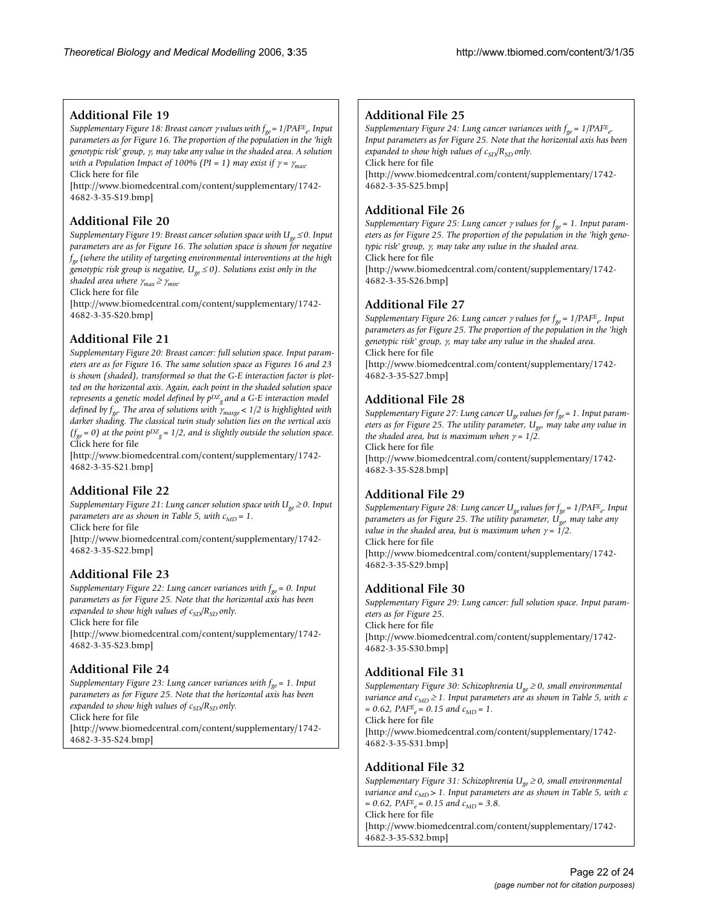### **Additional File 19**

*Supplementary Figure 18: Breast cancer* γ *values with fge = 1/PAFE e. Input parameters as for Figure 16. The proportion of the population in the 'high genotypic risk' group,* γ*, may take any value in the shaded area. A solution with a Population Impact of 100% (PI = 1) may exist if*  $\gamma = \gamma_{max}$ . Click here for file

[\[http://www.biomedcentral.com/content/supplementary/1742-](http://www.biomedcentral.com/content/supplementary/1742-4682-3-35-S19.bmp) 4682-3-35-S19.bmp]

# **Additional File 20**

*Supplementary Figure 19: Breast cancer solution space with U<sub>ge</sub> ≤0. Input parameters are as for Figure 16. The solution space is shown for negative fge (where the utility of targeting environmental interventions at the high genotypic risk group is negative,*  $U_{ge} \le 0$ . Solutions exist only in the *shaded area where*  $\gamma_{max} \geq \gamma_{min}$ .

Click here for file

[\[http://www.biomedcentral.com/content/supplementary/1742-](http://www.biomedcentral.com/content/supplementary/1742-4682-3-35-S20.bmp) 4682-3-35-S20.bmp]

### **Additional File 21**

*Supplementary Figure 20: Breast cancer: full solution space. Input parameters are as for Figure 16. The same solution space as Figures 16 and 23 is shown (shaded), transformed so that the G-E interaction factor is plotted on the horizontal axis. Again, each point in the shaded solution space represents a genetic model defined by pDZg and a G-E interaction model defined by fge. The area of solutions with* γ*maxge < 1/2 is highlighted with darker shading. The classical twin study solution lies on the vertical axis*   $(f_{ge} = 0)$  at the point  $p^{DZ}_{g} = 1/2$ , and is slightly outside the solution space. Click here for file

[\[http://www.biomedcentral.com/content/supplementary/1742-](http://www.biomedcentral.com/content/supplementary/1742-4682-3-35-S21.bmp) 4682-3-35-S21.bmp]

# **Additional File 22**

*Supplementary Figure 21: Lung cancer solution space with*  $U_{ge} \ge 0$ *. Input parameters are as shown in Table 5, with*  $c_{MD} = 1$ *.* 

Click here for file

[\[http://www.biomedcentral.com/content/supplementary/1742-](http://www.biomedcentral.com/content/supplementary/1742-4682-3-35-S22.bmp) 4682-3-35-S22.bmp]

# **Additional File 23**

*Supplementary Figure 22: Lung cancer variances with*  $f_{ge} = 0$ . Input *parameters as for Figure 25. Note that the horizontal axis has been expanded to show high values of*  $c_{SD}/R_{SD}$  *only.* Click here for file

[\[http://www.biomedcentral.com/content/supplementary/1742-](http://www.biomedcentral.com/content/supplementary/1742-4682-3-35-S23.bmp) 4682-3-35-S23.bmp]

# **Additional File 24**

*Supplementary Figure 23: Lung cancer variances with*  $f_{ge} = 1$ *. Input parameters as for Figure 25. Note that the horizontal axis has been expanded to show high values of*  $c_{SD}/R_{SD}$  *only.* Click here for file

[\[http://www.biomedcentral.com/content/supplementary/1742-](http://www.biomedcentral.com/content/supplementary/1742-4682-3-35-S24.bmp) 4682-3-35-S24.bmp]

### **Additional File 25**

*Supplementary Figure 24: Lung cancer variances with fge = 1/PAFE e. Input parameters as for Figure 25. Note that the horizontal axis has been expanded to show high values of*  $c_{SD}/R_{SD}$  *only.* Click here for file [\[http://www.biomedcentral.com/content/supplementary/1742-](http://www.biomedcentral.com/content/supplementary/1742-4682-3-35-S25.bmp) 4682-3-35-S25.bmp]

# **Additional File 26**

*Supplementary Figure 25: Lung cancer* γ *values for fge = 1. Input parameters as for Figure 25. The proportion of the population in the 'high genotypic risk' group,* γ*, may take any value in the shaded area.* Click here for file [\[http://www.biomedcentral.com/content/supplementary/1742-](http://www.biomedcentral.com/content/supplementary/1742-4682-3-35-S26.bmp)

4682-3-35-S26.bmp]

### **Additional File 27**

*Supplementary Figure 26: Lung cancer* γ *values for fge = 1/PAFE e. Input parameters as for Figure 25. The proportion of the population in the 'high genotypic risk' group,* γ*, may take any value in the shaded area.* Click here for file [\[http://www.biomedcentral.com/content/supplementary/1742-](http://www.biomedcentral.com/content/supplementary/1742-4682-3-35-S27.bmp) 4682-3-35-S27.bmp]

### **Additional File 28**

Supplementary Figure 27: Lung cancer U<sub>ge</sub> values for  $f_{ge}$  = 1. Input param*eters as for Figure 25. The utility parameter, Uge, may take any value in the shaded area, but is maximum when*  $\gamma = 1/\tilde{2}$ . Click here for file [\[http://www.biomedcentral.com/content/supplementary/1742-](http://www.biomedcentral.com/content/supplementary/1742-4682-3-35-S28.bmp) 4682-3-35-S28.bmp]

### **Additional File 29**

*Supplementary Figure 28: Lung cancer Uge values for fge = 1/PAFE e. Input parameters as for Figure 25. The utility parameter, Uge, may take any value in the shaded area, but is maximum when*  $\gamma = 1/2$ . Click here for file [\[http://www.biomedcentral.com/content/supplementary/1742-](http://www.biomedcentral.com/content/supplementary/1742-4682-3-35-S29.bmp) 4682-3-35-S29.bmp]

### **Additional File 30**

*Supplementary Figure 29: Lung cancer: full solution space. Input parameters as for Figure 25.* Click here for file

[\[http://www.biomedcentral.com/content/supplementary/1742-](http://www.biomedcentral.com/content/supplementary/1742-4682-3-35-S30.bmp) 4682-3-35-S30.bmp]

### **Additional File 31**

*Supplementary Figure 30: Schizophrenia Uge* ≥ *0, small environmental variance and*  $c_{MD} \geq 1$ *. Input parameters are as shown in Table 5, with*  $\varepsilon$  $= 0.62$ ,  $PAF_{e}^{E} = 0.15$  and  $c_{MD} = 1$ . Click here for file [\[http://www.biomedcentral.com/content/supplementary/1742-](http://www.biomedcentral.com/content/supplementary/1742-4682-3-35-S31.bmp) 4682-3-35-S31.bmp]

### **Additional File 32**

*Supplementary Figure 31: Schizophrenia Uge* ≥ *0, small environmental variance and*  $c_{MD} > 1$ *. Input parameters are as shown in Table 5, with*  $\varepsilon$  $= 0.62$ ,  $PAF_{e}^{E} = 0.15$  and  $c_{MD} = 3.8$ . Click here for file [\[http://www.biomedcentral.com/content/supplementary/1742-](http://www.biomedcentral.com/content/supplementary/1742-4682-3-35-S32.bmp) 4682-3-35-S32.bmp]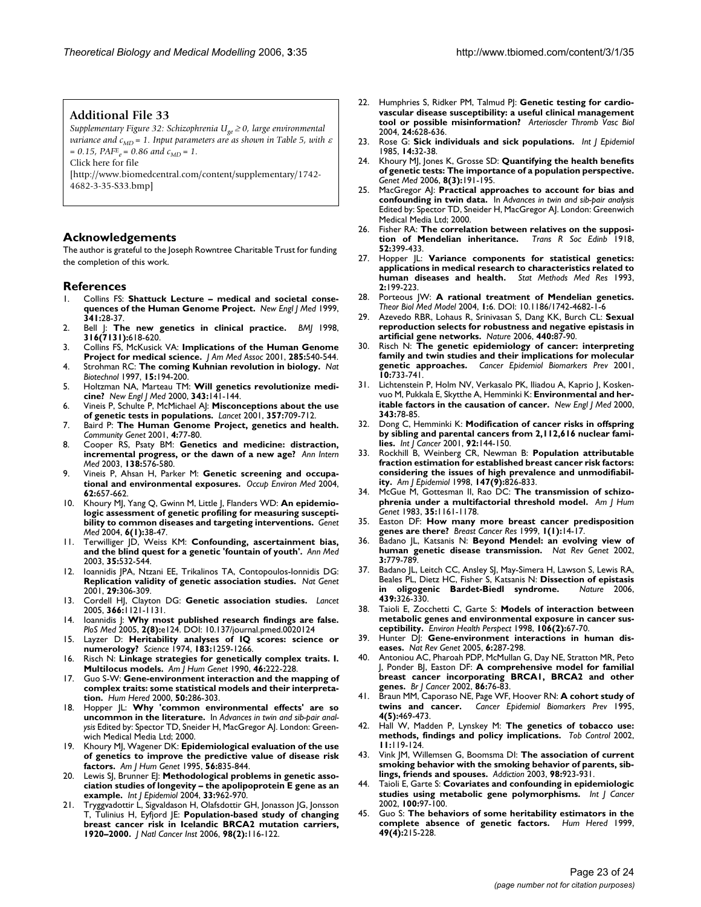#### **Additional File 33**

*Supplementary Figure 32: Schizophrenia Uge* ≥ *0, large environmental variance and*  $c_{MD} = 1$ *. Input parameters are as shown in Table 5, with*  $\varepsilon$  $= 0.15$ ,  $PAF_{e} = 0.86$  and  $c_{MD} = 1$ .

Click here for file

[\[http://www.biomedcentral.com/content/supplementary/1742-](http://www.biomedcentral.com/content/supplementary/1742-4682-3-35-S33.bmp) 4682-3-35-S33.bmp]

### **Acknowledgements**

The author is grateful to the Joseph Rowntree Charitable Trust for funding the completion of this work.

#### **References**

- 1. Collins FS: **[Shattuck Lecture medical and societal conse](http://www.ncbi.nlm.nih.gov/entrez/query.fcgi?cmd=Retrieve&db=PubMed&dopt=Abstract&list_uids=10387940)[quences of the Human Genome Project.](http://www.ncbi.nlm.nih.gov/entrez/query.fcgi?cmd=Retrieve&db=PubMed&dopt=Abstract&list_uids=10387940)** *New Engl J Med* 1999, **341:**28-37.
- 2. Bell J: **[The new genetics in clinical practice.](http://www.ncbi.nlm.nih.gov/entrez/query.fcgi?cmd=Retrieve&db=PubMed&dopt=Abstract&list_uids=9518921)** *BMJ* 1998, **316(7131):**618-620.
- 3. Collins FS, McKusick VA: **Implications of the Human Genome Project for medical science.** *J Am Med Assoc* 2001, **285:**540-544.
- 4. Strohman RC: **[The coming Kuhnian revolution in biology.](http://www.ncbi.nlm.nih.gov/entrez/query.fcgi?cmd=Retrieve&db=PubMed&dopt=Abstract&list_uids=9062910)** *Nat Biotechnol* 1997, **15:**194-200.
- 5. Holtzman NA, Marteau TM: **[Will genetics revolutionize medi](http://www.ncbi.nlm.nih.gov/entrez/query.fcgi?cmd=Retrieve&db=PubMed&dopt=Abstract&list_uids=10891526)[cine?](http://www.ncbi.nlm.nih.gov/entrez/query.fcgi?cmd=Retrieve&db=PubMed&dopt=Abstract&list_uids=10891526)** *New Engl J Med* 2000, **343:**141-144.
- 6. Vineis P, Schulte P, McMichael AJ: **[Misconceptions about the use](http://www.ncbi.nlm.nih.gov/entrez/query.fcgi?cmd=Retrieve&db=PubMed&dopt=Abstract&list_uids=11247571) [of genetic tests in populations.](http://www.ncbi.nlm.nih.gov/entrez/query.fcgi?cmd=Retrieve&db=PubMed&dopt=Abstract&list_uids=11247571)** *Lancet* 2001, **357:**709-712.
- 7. Baird P: **[The Human Genome Project, genetics and health.](http://www.ncbi.nlm.nih.gov/entrez/query.fcgi?cmd=Retrieve&db=PubMed&dopt=Abstract&list_uids=12751482)** *Community Genet* 2001, **4:**77-80.
- 8. Cooper RS, Psaty BM: **[Genetics and medicine: distraction,](http://www.ncbi.nlm.nih.gov/entrez/query.fcgi?cmd=Retrieve&db=PubMed&dopt=Abstract&list_uids=12667028) [incremental progress, or the dawn of a new age?](http://www.ncbi.nlm.nih.gov/entrez/query.fcgi?cmd=Retrieve&db=PubMed&dopt=Abstract&list_uids=12667028)** *Ann Intern Med* 2003, **138:**576-580.
- 9. Vineis P, Ahsan H, Parker M: **Genetic screening and occupational and environmental exposures.** *Occup Environ Med* 2004, **62:**657-662.
- 10. Khoury MJ, Yang Q, Gwinn M, Little J, Flanders WD: **[An epidemio](http://www.ncbi.nlm.nih.gov/entrez/query.fcgi?cmd=Retrieve&db=PubMed&dopt=Abstract&list_uids=14726808)[logic assessment of genetic profiling for measuring suscepti](http://www.ncbi.nlm.nih.gov/entrez/query.fcgi?cmd=Retrieve&db=PubMed&dopt=Abstract&list_uids=14726808)[bility to common diseases and targeting interventions.](http://www.ncbi.nlm.nih.gov/entrez/query.fcgi?cmd=Retrieve&db=PubMed&dopt=Abstract&list_uids=14726808)** *Genet Med* 2004, **6(1):**38-47.
- 11. Terwilliger JD, Weiss KM: **[Confounding, ascertainment bias,](http://www.ncbi.nlm.nih.gov/entrez/query.fcgi?cmd=Retrieve&db=PubMed&dopt=Abstract&list_uids=14649335) [and the blind quest for a genetic 'fountain of youth'.](http://www.ncbi.nlm.nih.gov/entrez/query.fcgi?cmd=Retrieve&db=PubMed&dopt=Abstract&list_uids=14649335)** *Ann Med* 2003, **35:**532-544.
- 12. Ioannidis JPA, Ntzani EE, Trikalinos TA, Contopoulos-Ionnidis DG: **[Replication validity of genetic association studies.](http://www.ncbi.nlm.nih.gov/entrez/query.fcgi?cmd=Retrieve&db=PubMed&dopt=Abstract&list_uids=11600885)** *Nat Genet* 2001, **29:**306-309.
- 13. Cordell HJ, Clayton DG: **[Genetic association studies.](http://www.ncbi.nlm.nih.gov/entrez/query.fcgi?cmd=Retrieve&db=PubMed&dopt=Abstract&list_uids=16182901)** *Lancet* 2005, **366:**1121-1131.
- 14. Ioannidis J: **[Why most published research findings are false.](http://www.ncbi.nlm.nih.gov/entrez/query.fcgi?cmd=Retrieve&db=PubMed&dopt=Abstract&list_uids=16060722)** *PloS Med* 2005, **2(8):**e124. DOI: 10.137/journal.pmed.0020124
- 15. Layzer D: **[Heritability analyses of IQ scores: science or](http://www.ncbi.nlm.nih.gov/entrez/query.fcgi?cmd=Retrieve&db=PubMed&dopt=Abstract&list_uids=4815127) [numerology?](http://www.ncbi.nlm.nih.gov/entrez/query.fcgi?cmd=Retrieve&db=PubMed&dopt=Abstract&list_uids=4815127)** *Science* 1974, **183:**1259-1266.
- 16. Risch N: **[Linkage strategies for genetically complex traits. I.](http://www.ncbi.nlm.nih.gov/entrez/query.fcgi?cmd=Retrieve&db=PubMed&dopt=Abstract&list_uids=2301392) [Multilocus models.](http://www.ncbi.nlm.nih.gov/entrez/query.fcgi?cmd=Retrieve&db=PubMed&dopt=Abstract&list_uids=2301392)** *Am J Hum Genet* 1990, **46:**222-228.
- 17. Guo S-W: **[Gene-environment interaction and the mapping of](http://www.ncbi.nlm.nih.gov/entrez/query.fcgi?cmd=Retrieve&db=PubMed&dopt=Abstract&list_uids=10878473) [complex traits: some statistical models and their interpreta](http://www.ncbi.nlm.nih.gov/entrez/query.fcgi?cmd=Retrieve&db=PubMed&dopt=Abstract&list_uids=10878473)[tion.](http://www.ncbi.nlm.nih.gov/entrez/query.fcgi?cmd=Retrieve&db=PubMed&dopt=Abstract&list_uids=10878473)** *Hum Hered* 2000, **50:**286-303.
- 18. Hopper JL: **Why 'common environmental effects' are so uncommon in the literature.** In *Advances in twin and sib-pair analysis* Edited by: Spector TD, Sneider H, MacGregor AJ. London: Greenwich Medical Media Ltd; 2000.
- 19. Khoury MJ, Wagener DK: **[Epidemiological evaluation of the use](http://www.ncbi.nlm.nih.gov/entrez/query.fcgi?cmd=Retrieve&db=PubMed&dopt=Abstract&list_uids=7717394) [of genetics to improve the predictive value of disease risk](http://www.ncbi.nlm.nih.gov/entrez/query.fcgi?cmd=Retrieve&db=PubMed&dopt=Abstract&list_uids=7717394) [factors.](http://www.ncbi.nlm.nih.gov/entrez/query.fcgi?cmd=Retrieve&db=PubMed&dopt=Abstract&list_uids=7717394)** *Am J Hum Genet* 1995, **56:**835-844.
- 20. Lewis SJ, Brunner EJ: **[Methodological problems in genetic asso](http://www.ncbi.nlm.nih.gov/entrez/query.fcgi?cmd=Retrieve&db=PubMed&dopt=Abstract&list_uids=15319409)[ciation studies of longevity – the apolipoprotein E gene as an](http://www.ncbi.nlm.nih.gov/entrez/query.fcgi?cmd=Retrieve&db=PubMed&dopt=Abstract&list_uids=15319409) [example.](http://www.ncbi.nlm.nih.gov/entrez/query.fcgi?cmd=Retrieve&db=PubMed&dopt=Abstract&list_uids=15319409)** *Int J Epidemiol* 2004, **33:**962-970.
- 21. Tryggvadottir L, Sigvaldason H, Olafsdottir GH, Jonasson JG, Jonsson T, Tulinius H, Eyfjord JE: **[Population-based study of changing](http://www.ncbi.nlm.nih.gov/entrez/query.fcgi?cmd=Retrieve&db=PubMed&dopt=Abstract&list_uids=16418514) [breast cancer risk in Icelandic BRCA2 mutation carriers,](http://www.ncbi.nlm.nih.gov/entrez/query.fcgi?cmd=Retrieve&db=PubMed&dopt=Abstract&list_uids=16418514) [1920–2000.](http://www.ncbi.nlm.nih.gov/entrez/query.fcgi?cmd=Retrieve&db=PubMed&dopt=Abstract&list_uids=16418514)** *J Natl Cancer Inst* 2006, **98(2):**116-122.
- 22. Humphries S, Ridker PM, Talmud P|: [Genetic testing for cardio](http://www.ncbi.nlm.nih.gov/entrez/query.fcgi?cmd=Retrieve&db=PubMed&dopt=Abstract&list_uids=14715642)**[vascular disease susceptibility: a useful clinical management](http://www.ncbi.nlm.nih.gov/entrez/query.fcgi?cmd=Retrieve&db=PubMed&dopt=Abstract&list_uids=14715642) [tool or possible misinformation?](http://www.ncbi.nlm.nih.gov/entrez/query.fcgi?cmd=Retrieve&db=PubMed&dopt=Abstract&list_uids=14715642)** *Arterioscler Thromb Vasc Biol* 2004, **24:**628-636.
- 23. Rose G: **[Sick individuals and sick populations.](http://www.ncbi.nlm.nih.gov/entrez/query.fcgi?cmd=Retrieve&db=PubMed&dopt=Abstract&list_uids=3872850)** *Int J Epidemiol* 1985, **14:**32-38.
- 24. Khoury MJ, Jones K, Grosse SD: **[Quantifying the health benefits](http://www.ncbi.nlm.nih.gov/entrez/query.fcgi?cmd=Retrieve&db=PubMed&dopt=Abstract&list_uids=16540755) [of genetic tests: The importance of a population perspective.](http://www.ncbi.nlm.nih.gov/entrez/query.fcgi?cmd=Retrieve&db=PubMed&dopt=Abstract&list_uids=16540755)** *Genet Med* 2006, **8(3):**191-195.
- 25. MacGregor AJ: **Practical approaches to account for bias and confounding in twin data.** In *Advances in twin and sib-pair analysis* Edited by: Spector TD, Sneider H, MacGregor AJ. London: Greenwich Medical Media Ltd; 2000.
- Fisher RA: The correlation between relatives on the supposi**tion of Mendelian inheritance.** *Trans R Soc Edinb* 1918, **52:**399-433.
- 27. Hopper JL: **[Variance components for statistical genetics:](http://www.ncbi.nlm.nih.gov/entrez/query.fcgi?cmd=Retrieve&db=PubMed&dopt=Abstract&list_uids=8261258) [applications in medical research to characteristics related to](http://www.ncbi.nlm.nih.gov/entrez/query.fcgi?cmd=Retrieve&db=PubMed&dopt=Abstract&list_uids=8261258) [human diseases and health.](http://www.ncbi.nlm.nih.gov/entrez/query.fcgi?cmd=Retrieve&db=PubMed&dopt=Abstract&list_uids=8261258)** *Stat Methods Med Res* 1993, **2:**199-223.
- 28. Porteous JW: **[A rational treatment of Mendelian genetics.](http://www.ncbi.nlm.nih.gov/entrez/query.fcgi?cmd=Retrieve&db=PubMed&dopt=Abstract&list_uids=15339331)** *Theor Biol Med Model* 2004, **1:**6. DOI: 10.1186/1742-4682-1-6
- 29. Azevedo RBR, Lohaus R, Srinivasan S, Dang KK, Burch CL: **[Sexual](http://www.ncbi.nlm.nih.gov/entrez/query.fcgi?cmd=Retrieve&db=PubMed&dopt=Abstract&list_uids=16511495) [reproduction selects for robustness and negative epistasis in](http://www.ncbi.nlm.nih.gov/entrez/query.fcgi?cmd=Retrieve&db=PubMed&dopt=Abstract&list_uids=16511495) [artificial gene networks.](http://www.ncbi.nlm.nih.gov/entrez/query.fcgi?cmd=Retrieve&db=PubMed&dopt=Abstract&list_uids=16511495)** *Nature* 2006, **440:**87-90.
- 30. Risch N: **[The genetic epidemiology of cancer: interpreting](http://www.ncbi.nlm.nih.gov/entrez/query.fcgi?cmd=Retrieve&db=PubMed&dopt=Abstract&list_uids=11440958) [family and twin studies and their implications for molecular](http://www.ncbi.nlm.nih.gov/entrez/query.fcgi?cmd=Retrieve&db=PubMed&dopt=Abstract&list_uids=11440958) [genetic approaches.](http://www.ncbi.nlm.nih.gov/entrez/query.fcgi?cmd=Retrieve&db=PubMed&dopt=Abstract&list_uids=11440958)** *Cancer Epidemiol Biomarkers Prev* 2001, **10:**733-741.
- 31. Lichtenstein P, Holm NV, Verkasalo PK, Iliadou A, Kaprio J, Koskenvuo M, Pukkala E, Skytthe A, Hemminki K: **[Environmental and her](http://www.ncbi.nlm.nih.gov/entrez/query.fcgi?cmd=Retrieve&db=PubMed&dopt=Abstract&list_uids=10891514)[itable factors in the causation of cancer.](http://www.ncbi.nlm.nih.gov/entrez/query.fcgi?cmd=Retrieve&db=PubMed&dopt=Abstract&list_uids=10891514)** *New Engl J Med* 2000, **343:**78-85.
- 32. Dong C, Hemminki K: **[Modification of cancer risks in offspring](http://www.ncbi.nlm.nih.gov/entrez/query.fcgi?cmd=Retrieve&db=PubMed&dopt=Abstract&list_uids=11279618) [by sibling and parental cancers from 2,112,616 nuclear fami](http://www.ncbi.nlm.nih.gov/entrez/query.fcgi?cmd=Retrieve&db=PubMed&dopt=Abstract&list_uids=11279618)[lies.](http://www.ncbi.nlm.nih.gov/entrez/query.fcgi?cmd=Retrieve&db=PubMed&dopt=Abstract&list_uids=11279618)** *Int J Cancer* 2001, **92:**144-150.
- 33. Rockhill B, Weinberg CR, Newman B: **[Population attributable](http://www.ncbi.nlm.nih.gov/entrez/query.fcgi?cmd=Retrieve&db=PubMed&dopt=Abstract&list_uids=9583712) fraction estimation for established breast cancer risk factors: [considering the issues of high prevalence and unmodifiabil](http://www.ncbi.nlm.nih.gov/entrez/query.fcgi?cmd=Retrieve&db=PubMed&dopt=Abstract&list_uids=9583712)[ity.](http://www.ncbi.nlm.nih.gov/entrez/query.fcgi?cmd=Retrieve&db=PubMed&dopt=Abstract&list_uids=9583712)** *Am J Epidemiol* 1998, **147(9):**826-833.
- 34. McGue M, Gottesman II, Rao DC: **[The transmission of schizo](http://www.ncbi.nlm.nih.gov/entrez/query.fcgi?cmd=Retrieve&db=PubMed&dopt=Abstract&list_uids=6650500)[phrenia under a multifactorial threshold model.](http://www.ncbi.nlm.nih.gov/entrez/query.fcgi?cmd=Retrieve&db=PubMed&dopt=Abstract&list_uids=6650500)** *Am J Hum Genet* 1983, **35:**1161-1178.
- 35. Easton DF: **[How many more breast cancer predisposition](http://www.ncbi.nlm.nih.gov/entrez/query.fcgi?cmd=Retrieve&db=PubMed&dopt=Abstract&list_uids=11250676) [genes are there?](http://www.ncbi.nlm.nih.gov/entrez/query.fcgi?cmd=Retrieve&db=PubMed&dopt=Abstract&list_uids=11250676)** *Breast Cancer Res* 1999, **1(1):**14-17.
- 36. Badano JL, Katsanis N: **[Beyond Mendel: an evolving view of](http://www.ncbi.nlm.nih.gov/entrez/query.fcgi?cmd=Retrieve&db=PubMed&dopt=Abstract&list_uids=12360236) [human genetic disease transmission.](http://www.ncbi.nlm.nih.gov/entrez/query.fcgi?cmd=Retrieve&db=PubMed&dopt=Abstract&list_uids=12360236)** *Nat Rev Genet* 2002, **3:**779-789.
- 37. Badano JL, Leitch CC, Ansley SJ, May-Simera H, Lawson S, Lewis RA, Beales PL, Dietz HC, Fisher S, Katsanis N: **[Dissection of epistasis](http://www.ncbi.nlm.nih.gov/entrez/query.fcgi?cmd=Retrieve&db=PubMed&dopt=Abstract&list_uids=16327777)** [in oligogenic Bardet-Biedl syndrome.](http://www.ncbi.nlm.nih.gov/entrez/query.fcgi?cmd=Retrieve&db=PubMed&dopt=Abstract&list_uids=16327777) **439:**326-330.
- 38. Taioli E, Zocchetti C, Garte S: **[Models of interaction between](http://www.ncbi.nlm.nih.gov/entrez/query.fcgi?cmd=Retrieve&db=PubMed&dopt=Abstract&list_uids=9435152) [metabolic genes and environmental exposure in cancer sus](http://www.ncbi.nlm.nih.gov/entrez/query.fcgi?cmd=Retrieve&db=PubMed&dopt=Abstract&list_uids=9435152)[ceptibility.](http://www.ncbi.nlm.nih.gov/entrez/query.fcgi?cmd=Retrieve&db=PubMed&dopt=Abstract&list_uids=9435152)** *Environ Health Perspect* 1998, **106(2):**67-70.
- 39. Hunter DJ: **[Gene-environment interactions in human dis](http://www.ncbi.nlm.nih.gov/entrez/query.fcgi?cmd=Retrieve&db=PubMed&dopt=Abstract&list_uids=15803198)[eases.](http://www.ncbi.nlm.nih.gov/entrez/query.fcgi?cmd=Retrieve&db=PubMed&dopt=Abstract&list_uids=15803198)** *Nat Rev Genet* 2005, **6:**287-298.
- 40. Antoniou AC, Pharoah PDP, McMullan G, Day NE, Stratton MR, Peto J, Ponder BJ, Easton DF: **[A comprehensive model for familial](http://www.ncbi.nlm.nih.gov/entrez/query.fcgi?cmd=Retrieve&db=PubMed&dopt=Abstract&list_uids=11857015) [breast cancer incorporating BRCA1, BRCA2 and other](http://www.ncbi.nlm.nih.gov/entrez/query.fcgi?cmd=Retrieve&db=PubMed&dopt=Abstract&list_uids=11857015) [genes.](http://www.ncbi.nlm.nih.gov/entrez/query.fcgi?cmd=Retrieve&db=PubMed&dopt=Abstract&list_uids=11857015)** *Br J Cancer* 2002, **86:**76-83.
- 41. Braun MM, Caporaso NE, Page WF, Hoover RN: **[A cohort study of](http://www.ncbi.nlm.nih.gov/entrez/query.fcgi?cmd=Retrieve&db=PubMed&dopt=Abstract&list_uids=7549801) [twins and cancer.](http://www.ncbi.nlm.nih.gov/entrez/query.fcgi?cmd=Retrieve&db=PubMed&dopt=Abstract&list_uids=7549801)** *Cancer Epidemiol Biomarkers Prev* 1995, **4(5):**469-473.
- 42. Hall W, Madden P, Lynskey M: **[The genetics of tobacco use:](http://www.ncbi.nlm.nih.gov/entrez/query.fcgi?cmd=Retrieve&db=PubMed&dopt=Abstract&list_uids=12035004) [methods, findings and policy implications.](http://www.ncbi.nlm.nih.gov/entrez/query.fcgi?cmd=Retrieve&db=PubMed&dopt=Abstract&list_uids=12035004)** *Tob Control* 2002, **11:**119-124.
- 43. Vink JM, Willemsen G, Boomsma DI: **[The association of current](http://www.ncbi.nlm.nih.gov/entrez/query.fcgi?cmd=Retrieve&db=PubMed&dopt=Abstract&list_uids=12814498) [smoking behavior with the smoking behavior of parents, sib](http://www.ncbi.nlm.nih.gov/entrez/query.fcgi?cmd=Retrieve&db=PubMed&dopt=Abstract&list_uids=12814498)[lings, friends and spouses.](http://www.ncbi.nlm.nih.gov/entrez/query.fcgi?cmd=Retrieve&db=PubMed&dopt=Abstract&list_uids=12814498)** *Addiction* 2003, **98:**923-931.
- 44. Taioli E, Garte S: **[Covariates and confounding in epidemiologic](http://www.ncbi.nlm.nih.gov/entrez/query.fcgi?cmd=Retrieve&db=PubMed&dopt=Abstract&list_uids=12115594) [studies using metabolic gene polymorphisms.](http://www.ncbi.nlm.nih.gov/entrez/query.fcgi?cmd=Retrieve&db=PubMed&dopt=Abstract&list_uids=12115594)** *Int J Cancer* 2002, **100:**97-100.
- 45. Guo S: **[The behaviors of some heritability estimators in the](http://www.ncbi.nlm.nih.gov/entrez/query.fcgi?cmd=Retrieve&db=PubMed&dopt=Abstract&list_uids=10436384) [complete absence of genetic factors.](http://www.ncbi.nlm.nih.gov/entrez/query.fcgi?cmd=Retrieve&db=PubMed&dopt=Abstract&list_uids=10436384)** *Hum Hered* 1999, **49(4):**215-228.